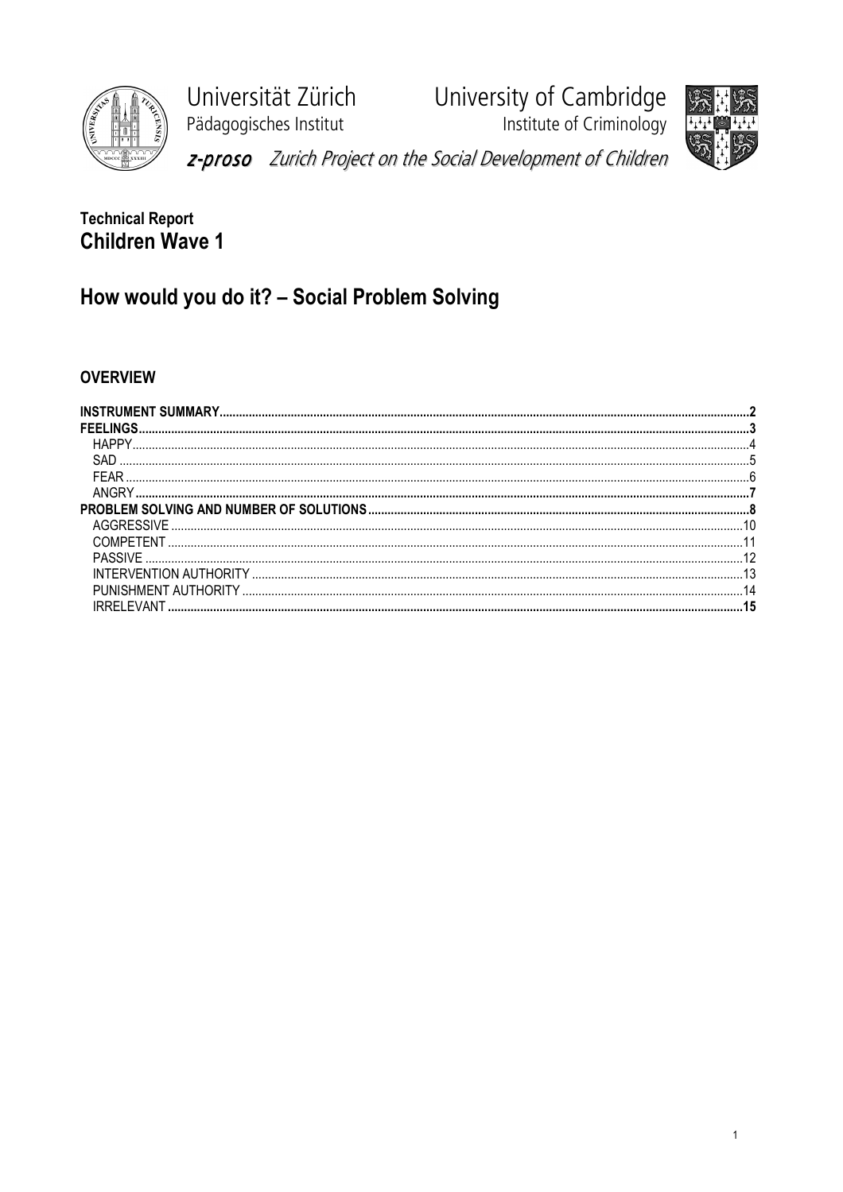

Universität Zürich Pädagogisches Institut

University of Cambridge Institute of Criminology



z-proso Zurich Project on the Social Development of Children

# **Technical Report Children Wave 1**

# How would you do it? - Social Problem Solving

## **OVERVIEW**

| <b>FFFI INGS</b> |    |
|------------------|----|
| HAPPY            |    |
|                  |    |
|                  |    |
|                  |    |
|                  |    |
|                  |    |
| COMPETENT        |    |
|                  |    |
|                  |    |
|                  | 14 |
|                  |    |
|                  |    |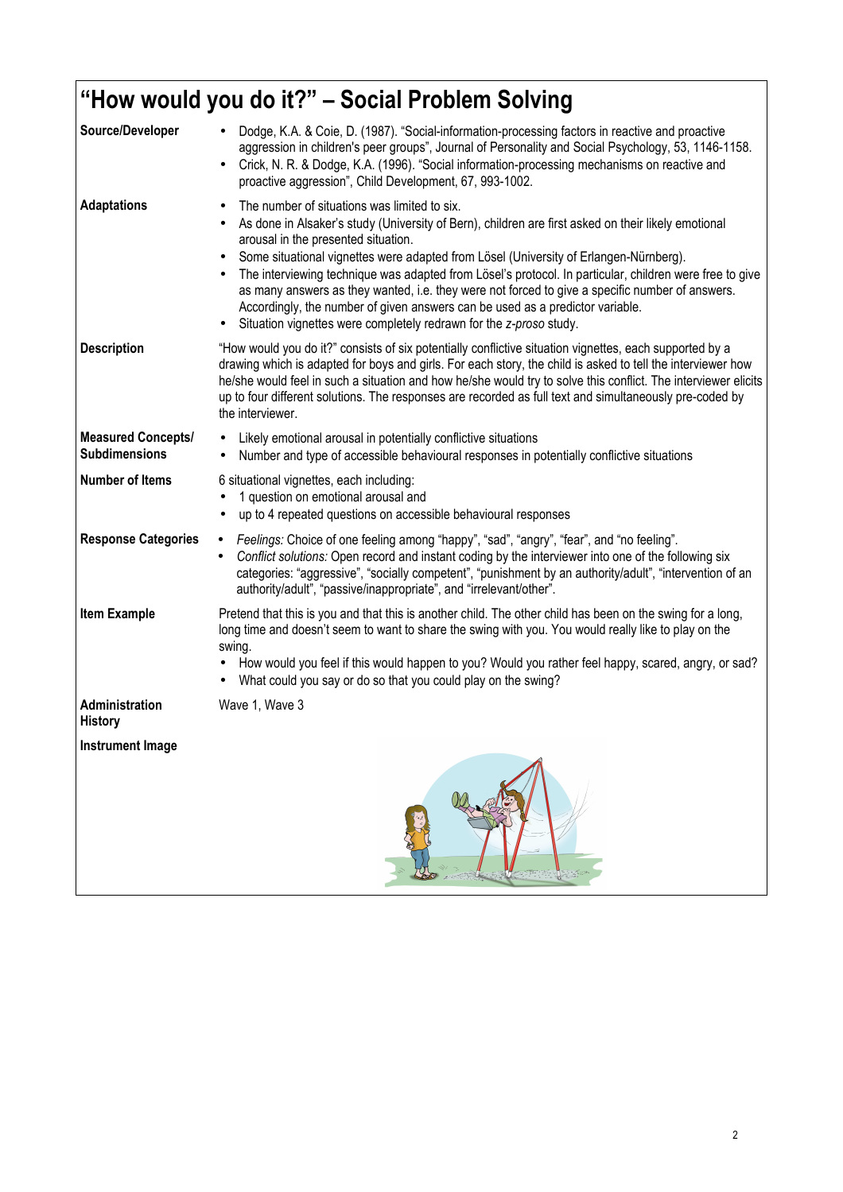|                                                   | "How would you do it?" – Social Problem Solving                                                                                                                                                                                                                                                                                                                                                                                                                                                                                                                                                                                                          |
|---------------------------------------------------|----------------------------------------------------------------------------------------------------------------------------------------------------------------------------------------------------------------------------------------------------------------------------------------------------------------------------------------------------------------------------------------------------------------------------------------------------------------------------------------------------------------------------------------------------------------------------------------------------------------------------------------------------------|
| Source/Developer                                  | Dodge, K.A. & Coie, D. (1987). "Social-information-processing factors in reactive and proactive<br>aggression in children's peer groups", Journal of Personality and Social Psychology, 53, 1146-1158.<br>Crick, N. R. & Dodge, K.A. (1996). "Social information-processing mechanisms on reactive and<br>$\bullet$<br>proactive aggression", Child Development, 67, 993-1002.                                                                                                                                                                                                                                                                           |
| <b>Adaptations</b>                                | The number of situations was limited to six.<br>As done in Alsaker's study (University of Bern), children are first asked on their likely emotional<br>arousal in the presented situation.<br>Some situational vignettes were adapted from Lösel (University of Erlangen-Nürnberg).<br>The interviewing technique was adapted from Lösel's protocol. In particular, children were free to give<br>as many answers as they wanted, i.e. they were not forced to give a specific number of answers.<br>Accordingly, the number of given answers can be used as a predictor variable.<br>Situation vignettes were completely redrawn for the z-proso study. |
| <b>Description</b>                                | "How would you do it?" consists of six potentially conflictive situation vignettes, each supported by a<br>drawing which is adapted for boys and girls. For each story, the child is asked to tell the interviewer how<br>he/she would feel in such a situation and how he/she would try to solve this conflict. The interviewer elicits<br>up to four different solutions. The responses are recorded as full text and simultaneously pre-coded by<br>the interviewer.                                                                                                                                                                                  |
| <b>Measured Concepts/</b><br><b>Subdimensions</b> | Likely emotional arousal in potentially conflictive situations<br>Number and type of accessible behavioural responses in potentially conflictive situations                                                                                                                                                                                                                                                                                                                                                                                                                                                                                              |
| <b>Number of Items</b>                            | 6 situational vignettes, each including:<br>1 question on emotional arousal and<br>up to 4 repeated questions on accessible behavioural responses                                                                                                                                                                                                                                                                                                                                                                                                                                                                                                        |
| <b>Response Categories</b>                        | Feelings: Choice of one feeling among "happy", "sad", "angry", "fear", and "no feeling".<br>$\bullet$<br>Conflict solutions: Open record and instant coding by the interviewer into one of the following six<br>$\bullet$<br>categories: "aggressive", "socially competent", "punishment by an authority/adult", "intervention of an<br>authority/adult", "passive/inappropriate", and "irrelevant/other".                                                                                                                                                                                                                                               |
| <b>Item Example</b>                               | Pretend that this is you and that this is another child. The other child has been on the swing for a long,<br>long time and doesn't seem to want to share the swing with you. You would really like to play on the<br>swing.<br>How would you feel if this would happen to you? Would you rather feel happy, scared, angry, or sad?<br>What could you say or do so that you could play on the swing?                                                                                                                                                                                                                                                     |
| Administration<br><b>History</b>                  | Wave 1, Wave 3                                                                                                                                                                                                                                                                                                                                                                                                                                                                                                                                                                                                                                           |
| <b>Instrument Image</b>                           |                                                                                                                                                                                                                                                                                                                                                                                                                                                                                                                                                                                                                                                          |
|                                                   |                                                                                                                                                                                                                                                                                                                                                                                                                                                                                                                                                                                                                                                          |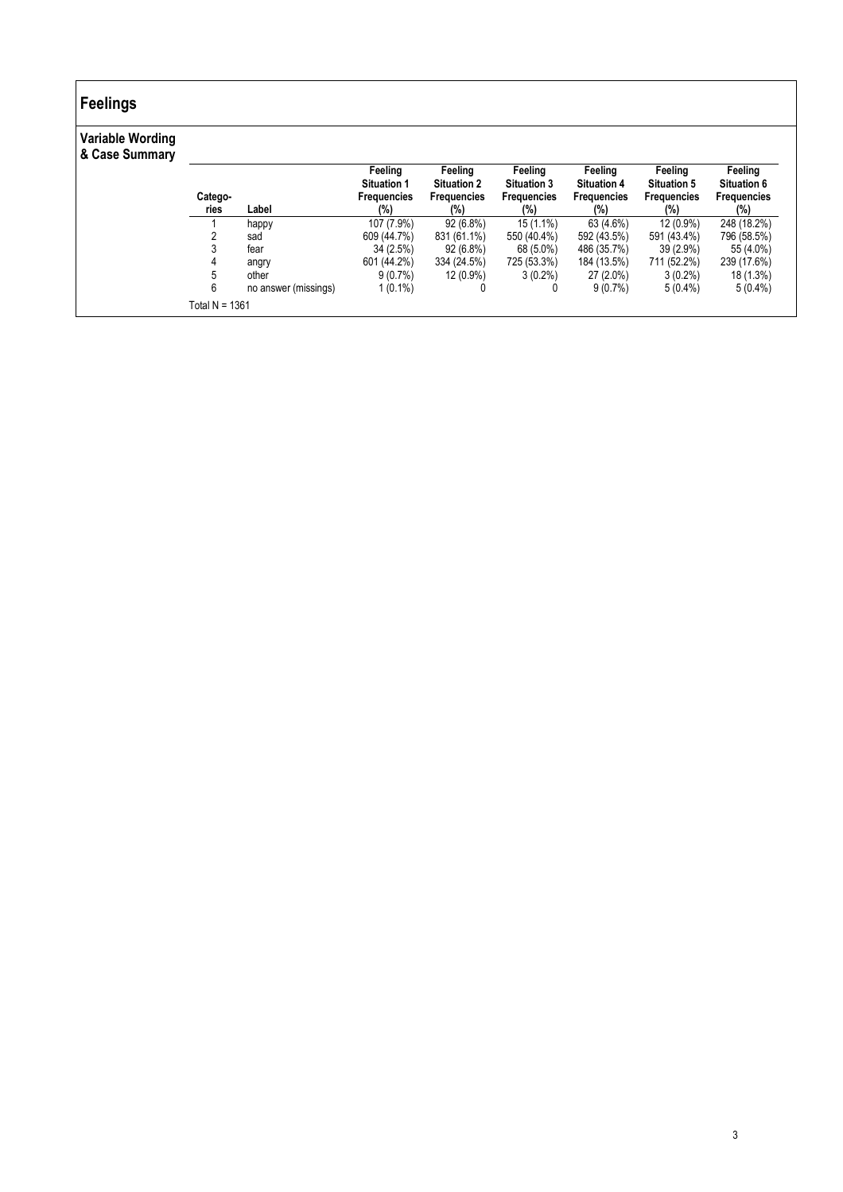# Feelings

## Variable Wording

|                |                      | Feeling<br><b>Situation 1</b> | Feeling<br><b>Situation 2</b> | Feeling<br><b>Situation 3</b> | Feeling<br><b>Situation 4</b> | Feeling<br><b>Situation 5</b> | Feeling<br><b>Situation 6</b> |
|----------------|----------------------|-------------------------------|-------------------------------|-------------------------------|-------------------------------|-------------------------------|-------------------------------|
| Catego-        |                      | <b>Frequencies</b>            | <b>Frequencies</b>            | <b>Frequencies</b>            | <b>Frequencies</b>            | <b>Frequencies</b>            | <b>Frequencies</b>            |
| ries           | Label                | (%)                           | (%)                           | (%)                           | (%)                           | $(\%)$                        | $(\%)$                        |
|                | happy                | 107 (7.9%)                    | 92 (6.8%)                     | $15(1.1\%)$                   | 63 (4.6%)                     | 12 (0.9%)                     | 248 (18.2%)                   |
|                | sad                  | 609 (44.7%)                   | 831 (61.1%)                   | 550 (40.4%)                   | 592 (43.5%)                   | 591 (43.4%)                   | 796 (58.5%)                   |
|                | fear                 | 34 (2.5%)                     | $92(6.8\%)$                   | 68 (5.0%)                     | 486 (35.7%)                   | $39(2.9\%)$                   | 55 (4.0%)                     |
| 4              | angry                | 601 (44.2%)                   | 334 (24.5%)                   | 725 (53.3%)                   | 184 (13.5%)                   | 711 (52.2%)                   | 239 (17.6%)                   |
|                | other                | $9(0.7\%)$                    | 12 (0.9%)                     | $3(0.2\%)$                    | $27(2.0\%)$                   | $3(0.2\%)$                    | 18 (1.3%)                     |
| 6              | no answer (missings) | $1(0.1\%)$                    |                               | 0                             | $9(0.7\%)$                    | $5(0.4\%)$                    | $5(0.4\%)$                    |
| Total N = 1361 |                      |                               |                               |                               |                               |                               |                               |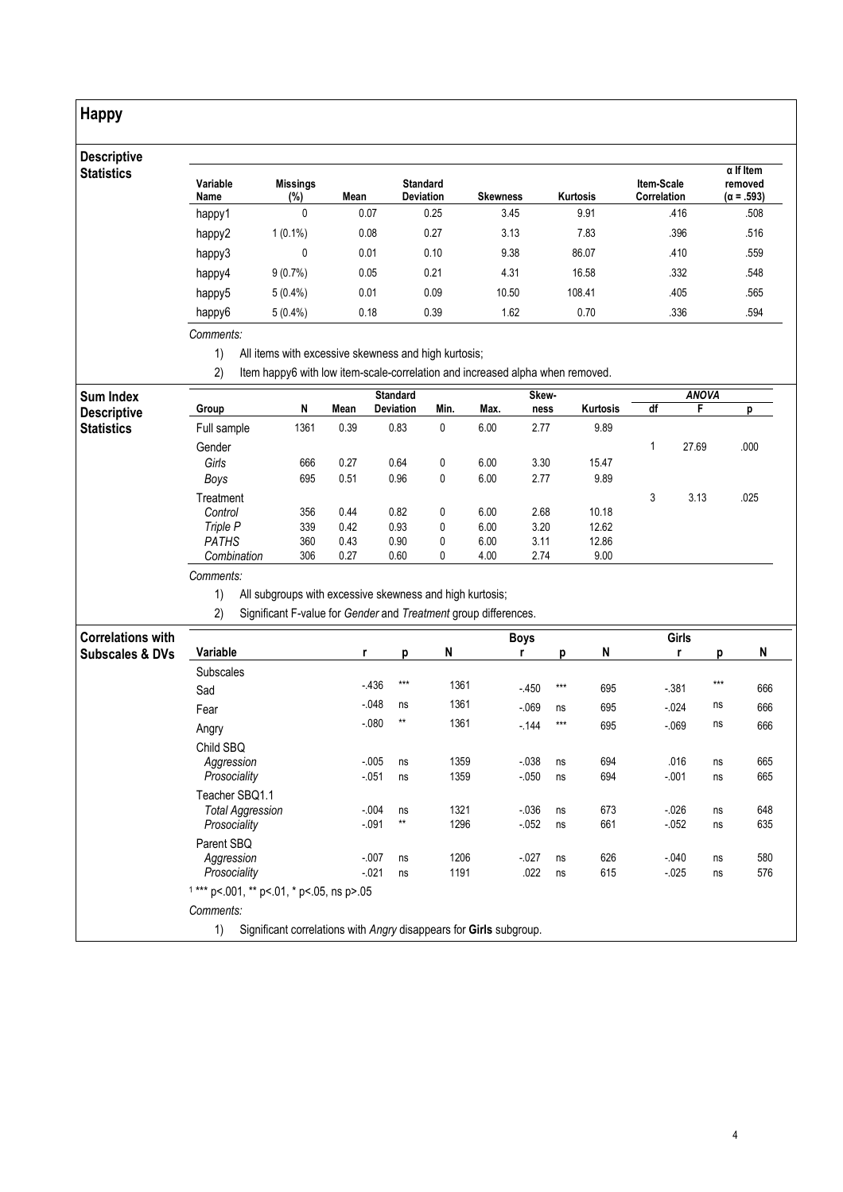## Happy

## **Descriptive Statistics**

| Variable<br>Name | <b>Missings</b><br>(%) | Mean | <b>Standard</b><br><b>Deviation</b> | <b>Skewness</b> | <b>Kurtosis</b> | <b>Item-Scale</b><br><b>Correlation</b> | $\alpha$ If Item<br>removed<br>$(\alpha = .593)$ |
|------------------|------------------------|------|-------------------------------------|-----------------|-----------------|-----------------------------------------|--------------------------------------------------|
| happy1           | 0                      | 0.07 | 0.25                                | 3.45            | 9.91            | .416                                    | .508                                             |
| happy2           | $1(0.1\%)$             | 0.08 | 0.27                                | 3.13            | 7.83            | .396                                    | .516                                             |
| happy3           | 0                      | 0.01 | 0.10                                | 9.38            | 86.07           | .410                                    | .559                                             |
| happy4           | $9(0.7\%)$             | 0.05 | 0.21                                | 4.31            | 16.58           | .332                                    | .548                                             |
| happy5           | $5(0.4\%)$             | 0.01 | 0.09                                | 10.50           | 108.41          | .405                                    | .565                                             |
| happy6           | $5(0.4\%)$             | 0.18 | 0.39                                | 1.62            | 0.70            | .336                                    | .594                                             |

Comments:

1) All items with excessive skewness and high kurtosis;

2) Item happy6 with low item-scale-correlation and increased alpha when removed.

| <b>Sum Index</b>   |              |      |      | <b>Standard</b>  |      |      | Skew- |          |    | <b>ANOVA</b> |      |
|--------------------|--------------|------|------|------------------|------|------|-------|----------|----|--------------|------|
| <b>Descriptive</b> | Group        | N    | Mean | <b>Deviation</b> | Min. | Max. | ness  | Kurtosis | df |              |      |
| <b>Statistics</b>  | Full sample  | 1361 | 0.39 | 0.83             | 0    | 6.00 | 2.77  | 9.89     |    |              |      |
|                    | Gender       |      |      |                  |      |      |       |          |    | 27.69        | .000 |
|                    | Girls        | 666  | 0.27 | 0.64             | 0    | 6.00 | 3.30  | 15.47    |    |              |      |
|                    | Boys         | 695  | 0.51 | 0.96             | 0    | 6.00 | 2.77  | 9.89     |    |              |      |
|                    | Treatment    |      |      |                  |      |      |       |          | 3  | 3.13         | .025 |
|                    | Control      | 356  | 0.44 | 0.82             | 0    | 6.00 | 2.68  | 10.18    |    |              |      |
|                    | Triple P     | 339  | 0.42 | 0.93             | 0    | 6.00 | 3.20  | 12.62    |    |              |      |
|                    | <b>PATHS</b> | 360  | 0.43 | 0.90             | 0    | 6.00 | 3.11  | 12.86    |    |              |      |
|                    | Combination  | 306  | 0.27 | 0.60             | 0    | 4.00 | 2.74  | 9.00     |    |              |      |

Comments:

1) All subgroups with excessive skewness and high kurtosis;

2) Significant F-value for Gender and Treatment group differences.

| <b>Correlations with</b>   |                                                                          |         |       |      | <b>Boys</b> |       |     | Girls    |       |     |
|----------------------------|--------------------------------------------------------------------------|---------|-------|------|-------------|-------|-----|----------|-------|-----|
| <b>Subscales &amp; DVs</b> | Variable                                                                 | r       | p     | N    |             | D     | N   |          | n     | N   |
|                            | <b>Subscales</b>                                                         |         |       |      |             |       |     |          |       |     |
|                            | Sad                                                                      | $-436$  | $***$ | 1361 | $-450$      | $***$ | 695 | $-381$   | $***$ | 666 |
|                            | Fear                                                                     | $-048$  | ns    | 1361 | $-069$      | ns    | 695 | $-024$   | ns    | 666 |
|                            | Angry                                                                    | $-080$  | $**$  | 1361 | $-144$      | $***$ | 695 | $-069$   | ns    | 666 |
|                            | Child SBQ                                                                |         |       |      |             |       |     |          |       |     |
|                            | Aggression                                                               | $-005$  | ns    | 1359 | $-038$      | ns    | 694 | .016     | ns    | 665 |
|                            | Prosociality                                                             | $-051$  | ns    | 1359 | $-0.050$    | ns    | 694 | $-0.01$  | ns    | 665 |
|                            | Teacher SBQ1.1                                                           |         |       |      |             |       |     |          |       |     |
|                            | <b>Total Aggression</b>                                                  | $-0.04$ | ns    | 1321 | $-0.036$    | ns    | 673 | $-0.026$ | ns    | 648 |
|                            | Prosociality                                                             | $-0.91$ | $**$  | 1296 | $-052$      | ns    | 661 | $-052$   | ns    | 635 |
|                            | Parent SBQ                                                               |         |       |      |             |       |     |          |       |     |
|                            | Aggression                                                               | $-007$  | ns    | 1206 | $-0.027$    | ns    | 626 | $-040$   | ns    | 580 |
|                            | Prosociality                                                             | $-021$  | ns    | 1191 | .022        | ns    | 615 | $-0.025$ | ns    | 576 |
|                            | $1***$ p<.001, ** p<.01, * p<.05, ns p>.05                               |         |       |      |             |       |     |          |       |     |
|                            | Comments:                                                                |         |       |      |             |       |     |          |       |     |
|                            | Significant correlations with Angry disappears for Girls subgroup.<br>1) |         |       |      |             |       |     |          |       |     |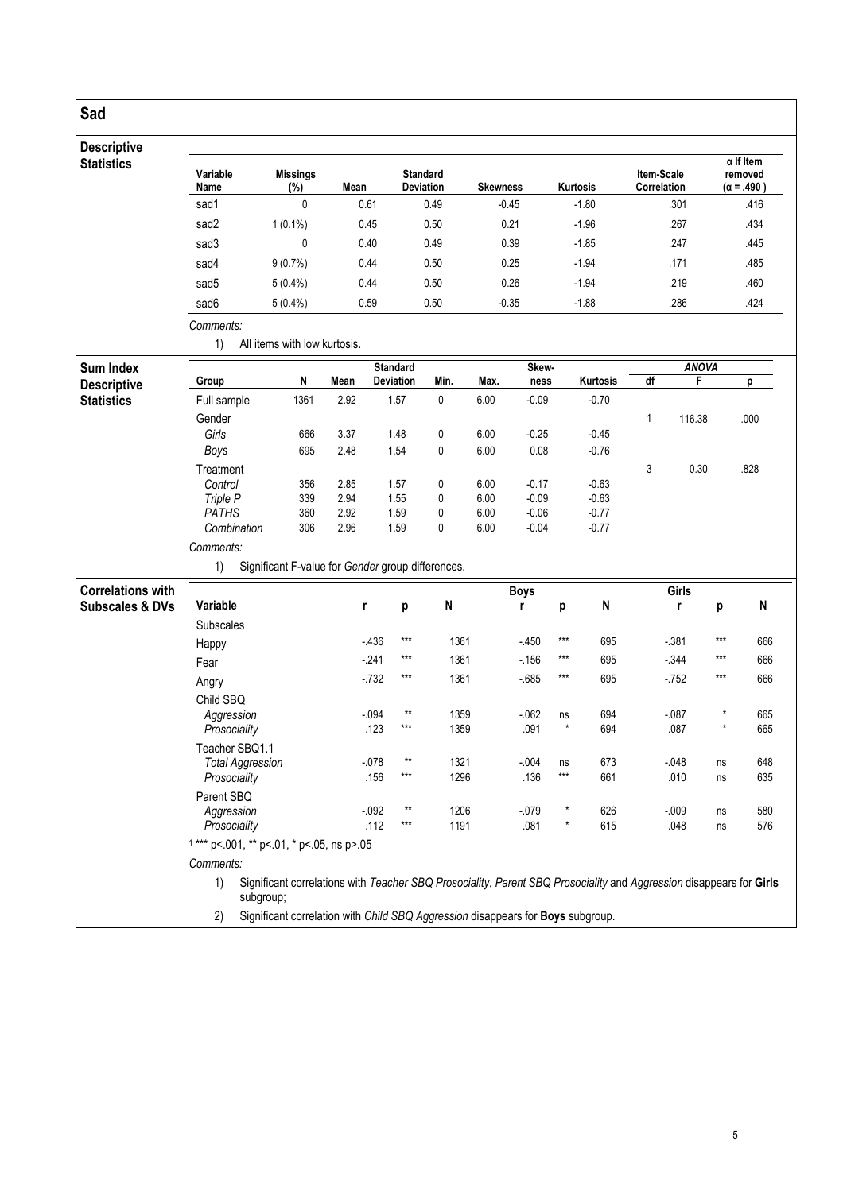## Sad

#### Descriptive **Statistics** Variable Name Missings<br>(%) Mean Standard<br>Deviation Skewness Kurtosis Item-Scale Correlation α If Item removed (α = .490 ) sad1 0 0.61 0.49 -0.45 -1.80 .301 .416 sad2 1 (0.1%) 0.45 0.50 0.21 -1.96 .267 .267 .434 sad3 0 0.40 0.49 0.39 -1.85 .247 .445 sad4 9 (0.7%) 0.44 0.50 0.25 -1.94 .171 .485 sad5 5 (0.4%) 0.44 0.50 0.26 -1.94 .219 .460 sad6 5 (0.4%) 0.59 0.50 -0.35 -1.88 .286 .224 .424

Comments: 1) All items with low kurtosis.

| Sum Index          |              |      |      | <b>Standard</b>  |      |      | Skew-   |          |    | <b>ANOVA</b> |      |
|--------------------|--------------|------|------|------------------|------|------|---------|----------|----|--------------|------|
| <b>Descriptive</b> | Group        | N    | Mean | <b>Deviation</b> | Min. | Max. | ness    | Kurtosis | df |              |      |
| <b>Statistics</b>  | Full sample  | 1361 | 2.92 | 1.57             | 0    | 6.00 | $-0.09$ | $-0.70$  |    |              |      |
|                    | Gender       |      |      |                  |      |      |         |          |    | 116.38       | .000 |
|                    | Girls        | 666  | 3.37 | 1.48             | 0    | 6.00 | $-0.25$ | $-0.45$  |    |              |      |
|                    | Boys         | 695  | 2.48 | 1.54             | 0    | 6.00 | 0.08    | $-0.76$  |    |              |      |
|                    | Treatment    |      |      |                  |      |      |         |          | 3  | 0.30         | .828 |
|                    | Control      | 356  | 2.85 | 1.57             | 0    | 6.00 | $-0.17$ | $-0.63$  |    |              |      |
|                    | Triple P     | 339  | 2.94 | 1.55             | 0    | 6.00 | $-0.09$ | $-0.63$  |    |              |      |
|                    | <b>PATHS</b> | 360  | 2.92 | 1.59             | 0    | 6.00 | $-0.06$ | $-0.77$  |    |              |      |
|                    | Combination  | 306  | 2.96 | 1.59             | 0    | 6.00 | $-0.04$ | $-0.77$  |    |              |      |

## Comments:

1) Significant F-value for Gender group differences.

| <b>Correlations with</b>   |                                            |                                                                                                                     |       |      | <b>Boys</b> |         |     | Girls  |          |     |  |  |  |
|----------------------------|--------------------------------------------|---------------------------------------------------------------------------------------------------------------------|-------|------|-------------|---------|-----|--------|----------|-----|--|--|--|
| <b>Subscales &amp; DVs</b> | Variable                                   | r                                                                                                                   | р     | N    |             | n       | N   |        | D        | N   |  |  |  |
|                            | <b>Subscales</b>                           |                                                                                                                     |       |      |             |         |     |        |          |     |  |  |  |
|                            | Happy                                      | $-436$                                                                                                              | $***$ | 1361 | $-450$      | ***     | 695 | $-381$ | $***$    | 666 |  |  |  |
|                            | Fear                                       | $-241$                                                                                                              | $***$ | 1361 | $-156$      | ***     | 695 | $-344$ | ***      | 666 |  |  |  |
|                            | Angry                                      | $-732$                                                                                                              | $***$ | 1361 | $-685$      | ***     | 695 | $-752$ | $***$    | 666 |  |  |  |
|                            | Child SBQ                                  |                                                                                                                     |       |      |             |         |     |        |          |     |  |  |  |
|                            | Aggression                                 | $-0.94$                                                                                                             | $**$  | 1359 | $-062$      | ns      | 694 | $-087$ | $\star$  | 665 |  |  |  |
|                            | Prosociality                               | .123                                                                                                                | $***$ | 1359 | .091        | $\star$ | 694 | .087   | $^\star$ | 665 |  |  |  |
|                            | Teacher SBQ1.1                             |                                                                                                                     |       |      |             |         |     |        |          |     |  |  |  |
|                            | <b>Total Aggression</b>                    | $-078$                                                                                                              | $**$  | 1321 | $-0.004$    | ns      | 673 | $-048$ | ns       | 648 |  |  |  |
|                            | Prosociality                               | .156                                                                                                                | $***$ | 1296 | .136        | ***     | 661 | .010   | ns       | 635 |  |  |  |
|                            | Parent SBQ                                 |                                                                                                                     |       |      |             |         |     |        |          |     |  |  |  |
|                            | Aggression                                 | $-0.92$                                                                                                             | $**$  | 1206 | $-079$      | $\star$ | 626 | $-009$ | ns       | 580 |  |  |  |
|                            | Prosociality                               | .112                                                                                                                | $***$ | 1191 | .081        | $\star$ | 615 | .048   | ns       | 576 |  |  |  |
|                            | $1***$ p<.001, ** p<.01, * p<.05, ns p>.05 |                                                                                                                     |       |      |             |         |     |        |          |     |  |  |  |
|                            | Comments:                                  |                                                                                                                     |       |      |             |         |     |        |          |     |  |  |  |
|                            | 1)<br>subgroup;                            | Significant correlations with Teacher SBQ Prosociality, Parent SBQ Prosociality and Aggression disappears for Girls |       |      |             |         |     |        |          |     |  |  |  |
|                            | 2)                                         | Significant correlation with Child SBQ Aggression disappears for Boys subgroup.                                     |       |      |             |         |     |        |          |     |  |  |  |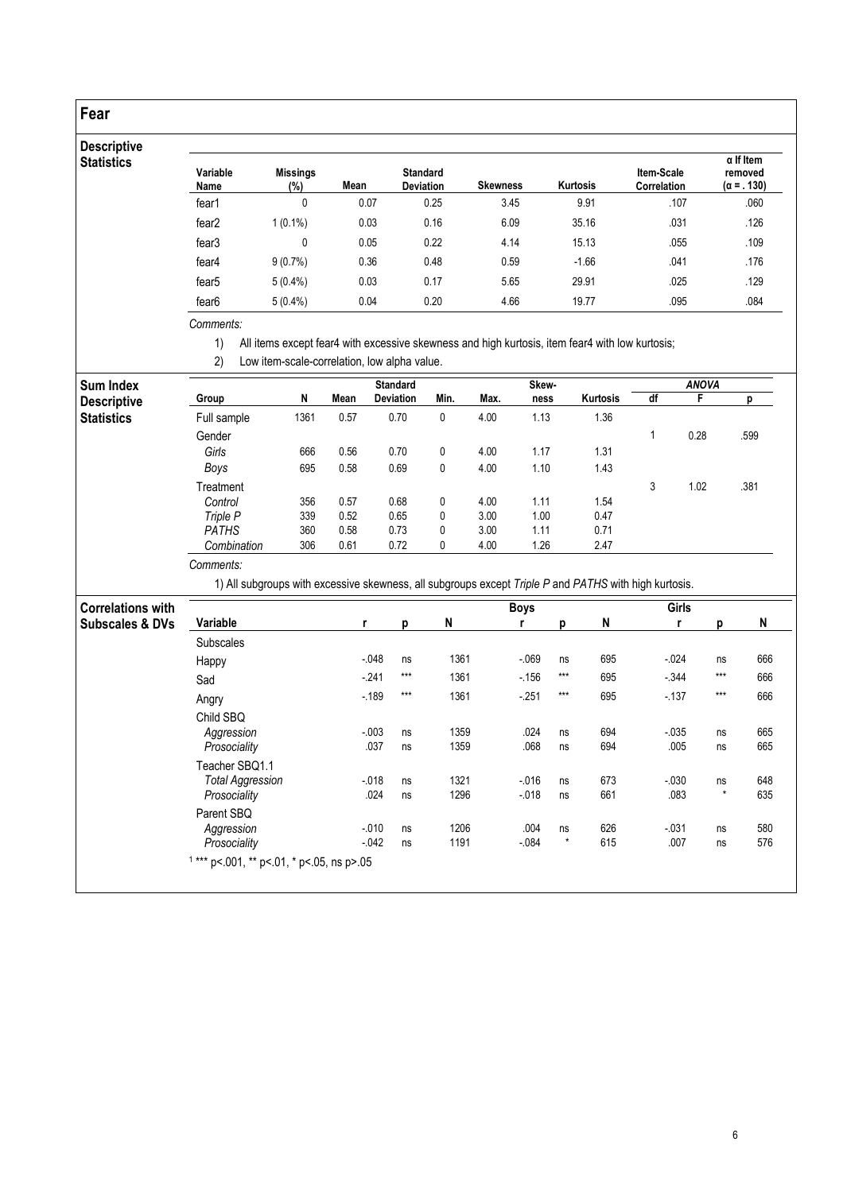## Fear

### Descripti **Statistics**

| Variable<br>Name  | <b>Missings</b><br>(%) | Mean | <b>Standard</b><br><b>Deviation</b> | <b>Skewness</b> | Kurtosis | Item-Scale<br><b>Correlation</b> | $\alpha$ If Item<br>removed<br>$(\alpha = .130)$ |
|-------------------|------------------------|------|-------------------------------------|-----------------|----------|----------------------------------|--------------------------------------------------|
| fear1             | 0                      | 0.07 | 0.25                                | 3.45            | 9.91     | .107                             | .060                                             |
| fear <sub>2</sub> | $1(0.1\%)$             | 0.03 | 0.16                                | 6.09            | 35.16    | .031                             | .126                                             |
| fear <sub>3</sub> | 0                      | 0.05 | 0.22                                | 4.14            | 15.13    | .055                             | .109                                             |
| fear4             | $9(0.7\%)$             | 0.36 | 0.48                                | 0.59            | $-1.66$  | .041                             | .176                                             |
| fear <sub>5</sub> | $5(0.4\%)$             | 0.03 | 0.17                                | 5.65            | 29.91    | .025                             | .129                                             |
| fear <sub>6</sub> | $5(0.4\%)$             | 0.04 | 0.20                                | 4.66            | 19.77    | .095                             | .084                                             |

### Comments:

1) All items except fear4 with excessive skewness and high kurtosis, item fear4 with low kurtosis;

2) Low item-scale-correlation, low alpha value.

| Sum Index          |              |      |      | <b>Standard</b>  |      |      | <b>Skew</b> |                                                                                                       |    | <b>ANOVA</b> |      |
|--------------------|--------------|------|------|------------------|------|------|-------------|-------------------------------------------------------------------------------------------------------|----|--------------|------|
| <b>Descriptive</b> | Group        | N    | Mean | <b>Deviation</b> | Min. | Max. | ness        | Kurtosis                                                                                              | df |              |      |
| Statistics         | Full sample  | 1361 | 0.57 | 0.70             | 0    | 4.00 | 1.13        | 1.36                                                                                                  |    |              |      |
|                    | Gender       |      |      |                  |      |      |             |                                                                                                       |    | 0.28         | .599 |
|                    | Girls        | 666  | 0.56 | 0.70             | 0    | 4.00 | 1.17        | 1.31                                                                                                  |    |              |      |
|                    | Boys         | 695  | 0.58 | 0.69             | 0    | 4.00 | 1.10        | 1.43                                                                                                  |    |              |      |
|                    | Treatment    |      |      |                  |      |      |             |                                                                                                       | 3  | 1.02         | .381 |
|                    | Control      | 356  | 0.57 | 0.68             | 0    | 4.00 | 1.11        | 1.54                                                                                                  |    |              |      |
|                    | Triple P     | 339  | 0.52 | 0.65             | 0    | 3.00 | 1.00        | 0.47                                                                                                  |    |              |      |
|                    | <b>PATHS</b> | 360  | 0.58 | 0.73             | 0    | 3.00 | 1.11        | 0.71                                                                                                  |    |              |      |
|                    | Combination  | 306  | 0.61 | 0.72             | 0    | 4.00 | 1.26        | 2.47                                                                                                  |    |              |      |
|                    | Comments:    |      |      |                  |      |      |             |                                                                                                       |    |              |      |
|                    |              |      |      |                  |      |      |             | 1) All subgroups with excessive skewness, all subgroups except Triple P and PATHS with high kurtosis. |    |              |      |

| <b>Correlations with</b>   |                                                           |                  |          |              | <b>Boys</b>          |               |            | Girls            |               |            |
|----------------------------|-----------------------------------------------------------|------------------|----------|--------------|----------------------|---------------|------------|------------------|---------------|------------|
| <b>Subscales &amp; DVs</b> | Variable                                                  | r                | р        | N            |                      | n             | N          | r                | D             | N          |
|                            | <b>Subscales</b>                                          |                  |          |              |                      |               |            |                  |               |            |
|                            | Happy                                                     | $-048$           | ns       | 1361         | $-069$               | ns            | 695        | $-0.024$         | ns            | 666        |
|                            | Sad                                                       | $-241$           | $***$    | 1361         | $-156$               | $***$         | 695        | $-0.344$         | $***$         | 666        |
|                            | Angry                                                     | $-189$           | $***$    | 1361         | $-251$               | $***$         | 695        | $-137$           | $***$         | 666        |
|                            | Child SBQ<br>Aggression<br>Prosociality                   | $-003$<br>.037   | ns<br>ns | 1359<br>1359 | .024<br>.068         | ns<br>ns      | 694<br>694 | $-0.035$<br>.005 | ns<br>ns      | 665<br>665 |
|                            | Teacher SBO1.1<br><b>Total Aggression</b><br>Prosociality | $-018$<br>.024   | ns<br>ns | 1321<br>1296 | $-0.016$<br>$-0.018$ | ns<br>ns      | 673<br>661 | $-0.30$<br>.083  | ns<br>$\star$ | 648<br>635 |
|                            | Parent SBQ<br>Aggression<br>Prosociality                  | $-010$<br>$-042$ | ns<br>ns | 1206<br>1191 | .004<br>$-084$       | ns<br>$\star$ | 626<br>615 | $-031$<br>.007   | ns<br>ns      | 580<br>576 |
|                            | $1***$ p<.001, ** p<.01, * p<.05, ns p>.05                |                  |          |              |                      |               |            |                  |               |            |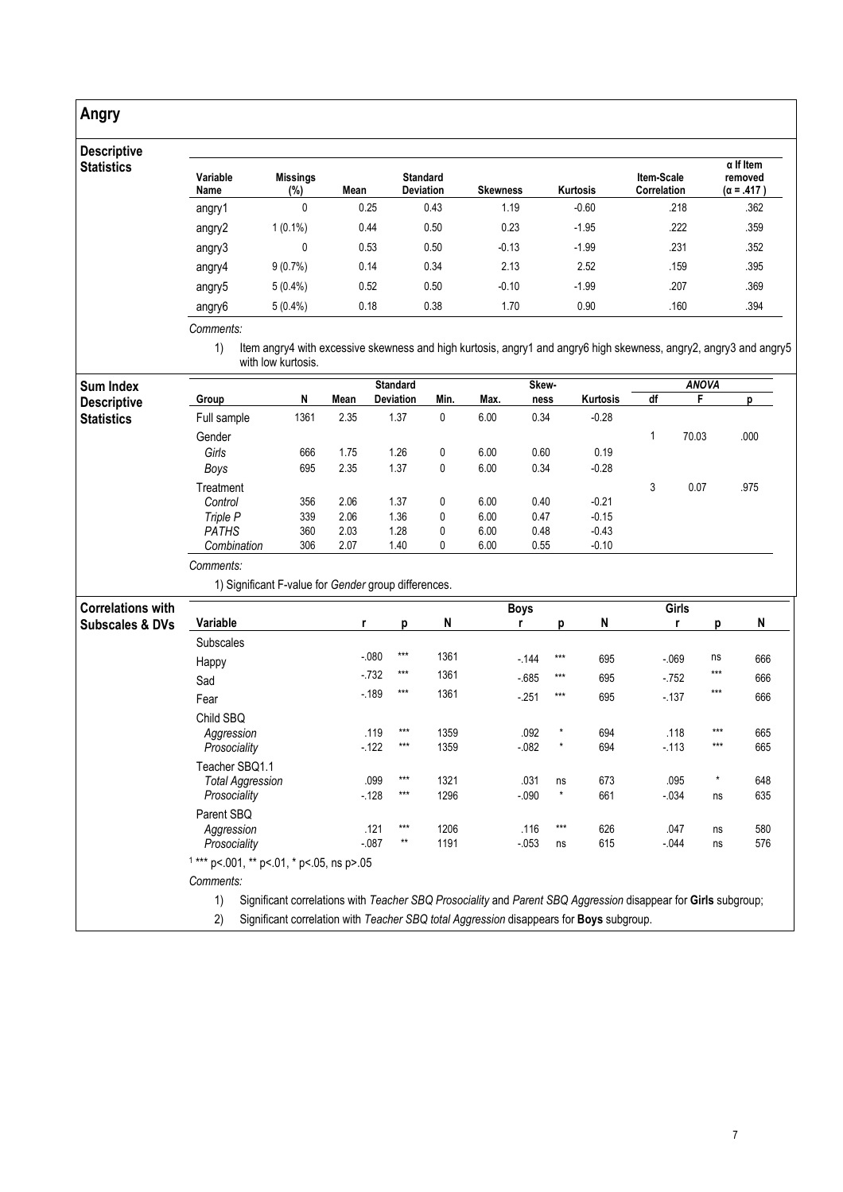## Angry

## Deso

| <b>Descriptive</b><br><b>Statistics</b> | Variable<br>Name | <b>Missings</b><br>$(\%)$ | Mean | <b>Standard</b><br><b>Deviation</b> | <b>Skewness</b> | Kurtosis | Item-Scale<br><b>Correlation</b> | $\alpha$ If Item<br>removed<br>$(\alpha = .417)$ |
|-----------------------------------------|------------------|---------------------------|------|-------------------------------------|-----------------|----------|----------------------------------|--------------------------------------------------|
|                                         | angry1           |                           | 0.25 | 0.43                                | 1.19            | $-0.60$  | .218                             | .362                                             |
|                                         | angry2           | $1(0.1\%)$                | 0.44 | 0.50                                | 0.23            | $-1.95$  | .222                             | .359                                             |
|                                         | angry3           | 0                         | 0.53 | 0.50                                | $-0.13$         | $-1.99$  | .231                             | .352                                             |
|                                         | angry4           | $9(0.7\%)$                | 0.14 | 0.34                                | 2.13            | 2.52     | .159                             | .395                                             |
|                                         | angry5           | $5(0.4\%)$                | 0.52 | 0.50                                | $-0.10$         | $-1.99$  | .207                             | .369                                             |
|                                         | angry6           | $5(0.4\%)$                | 0.18 | 0.38                                | 1.70            | 0.90     | .160                             | .394                                             |

Comments:

1) Item angry4 with excessive skewness and high kurtosis, angry1 and angry6 high skewness, angry2, angry3 and angry5 with low kurtosis.

| <b>Sum Index</b>           |                                                                          |      |        | <b>Standard</b>   |             |      | Skew-       |               |                                                                                                                |         | <b>ANOVA</b>  |      |  |  |
|----------------------------|--------------------------------------------------------------------------|------|--------|-------------------|-------------|------|-------------|---------------|----------------------------------------------------------------------------------------------------------------|---------|---------------|------|--|--|
| <b>Descriptive</b>         | Group                                                                    | N    | Mean   | Deviation         | Min.        | Max. | ness        |               | Kurtosis                                                                                                       | df      | F             | р    |  |  |
| <b>Statistics</b>          | Full sample                                                              | 1361 | 2.35   | 1.37              | 0           | 6.00 | 0.34        |               | $-0.28$                                                                                                        |         |               |      |  |  |
|                            | Gender                                                                   |      |        |                   |             |      |             |               |                                                                                                                | 1       | 70.03         | .000 |  |  |
|                            | Girls                                                                    | 666  | 1.75   | 1.26              | 0           | 6.00 | 0.60        |               | 0.19                                                                                                           |         |               |      |  |  |
|                            | Boys                                                                     | 695  | 2.35   | 1.37              | 0           | 6.00 | 0.34        |               | $-0.28$                                                                                                        |         |               |      |  |  |
|                            | Treatment                                                                |      |        |                   |             |      |             |               |                                                                                                                | 3       | 0.07          | .975 |  |  |
|                            | Control                                                                  | 356  | 2.06   | 1.37              | 0           | 6.00 | 0.40        |               | $-0.21$                                                                                                        |         |               |      |  |  |
|                            | Triple P                                                                 | 339  | 2.06   | 1.36              | $\mathbf 0$ | 6.00 | 0.47        |               | $-0.15$                                                                                                        |         |               |      |  |  |
|                            | <b>PATHS</b>                                                             | 360  | 2.03   | 1.28              | 0           | 6.00 | 0.48        |               | $-0.43$                                                                                                        |         |               |      |  |  |
|                            | Combination                                                              | 306  | 2.07   | 1.40              | 0           | 6.00 | 0.55        |               | $-0.10$                                                                                                        |         |               |      |  |  |
|                            | Comments:                                                                |      |        |                   |             |      |             |               |                                                                                                                |         |               |      |  |  |
|                            | 1) Significant F-value for Gender group differences.                     |      |        |                   |             |      |             |               |                                                                                                                |         |               |      |  |  |
| <b>Correlations with</b>   |                                                                          |      |        |                   |             |      | <b>Boys</b> |               |                                                                                                                | Girls   |               |      |  |  |
| <b>Subscales &amp; DVs</b> | Variable                                                                 |      | r      | p                 | N           |      | r           | p             | N                                                                                                              | r       | p             | N    |  |  |
|                            | Subscales                                                                |      |        |                   |             |      |             |               |                                                                                                                |         |               |      |  |  |
|                            | Happy                                                                    |      | $-080$ | $\star\star\star$ | 1361        |      | $-144$      | $***$         | 695                                                                                                            | $-069$  | ns            | 666  |  |  |
|                            | Sad                                                                      |      | $-732$ | $***$             | 1361        |      | $-685$      | $***$         | 695                                                                                                            | $-752$  | $***$         | 666  |  |  |
|                            | Fear                                                                     |      | $-189$ | $***$             | 1361        |      | $-251$      | $***$         | 695                                                                                                            | $-137$  | $***$         | 666  |  |  |
|                            | Child SBQ                                                                |      |        |                   |             |      |             |               |                                                                                                                |         |               |      |  |  |
|                            | Aggression                                                               |      |        | $***$<br>.119     | 1359        |      | .092        | $\pmb{\star}$ | 694                                                                                                            | .118    | $***$         | 665  |  |  |
|                            | Prosociality                                                             |      | $-122$ | $\star\star\star$ | 1359        |      | $-082$      | $\star$       | 694                                                                                                            | $-113$  | $***$         | 665  |  |  |
|                            | Teacher SBQ1.1                                                           |      |        |                   |             |      |             |               |                                                                                                                |         |               |      |  |  |
|                            | <b>Total Aggression</b>                                                  |      |        | $***$<br>.099     | 1321        |      | .031        | ns            | 673                                                                                                            | .095    | $\pmb{\star}$ | 648  |  |  |
|                            | Prosociality                                                             |      | $-128$ | $***$             | 1296        |      | $-0.090$    | $\star$       | 661                                                                                                            | $-0.34$ | ns            | 635  |  |  |
|                            | Parent SBQ                                                               |      |        |                   |             |      |             |               |                                                                                                                |         |               |      |  |  |
|                            | Aggression                                                               |      | .121   | $***$             | 1206        |      | .116        | $***$         | 626                                                                                                            | .047    | ns            | 580  |  |  |
|                            | $^{\star\star}$<br>1191<br>$-087$<br>$-053$<br>615<br>Prosociality<br>ns |      |        |                   |             |      |             |               |                                                                                                                | $-0.44$ | ns            | 576  |  |  |
|                            | $1***$ p<.001, ** p<.01, * p<.05, ns p>.05                               |      |        |                   |             |      |             |               |                                                                                                                |         |               |      |  |  |
|                            | Comments:                                                                |      |        |                   |             |      |             |               |                                                                                                                |         |               |      |  |  |
|                            | 1)                                                                       |      |        |                   |             |      |             |               | Significant correlations with Teacher SBQ Prosociality and Parent SBQ Aggression disappear for Girls subgroup; |         |               |      |  |  |

2) Significant correlation with Teacher SBQ total Aggression disappears for Boys subgroup.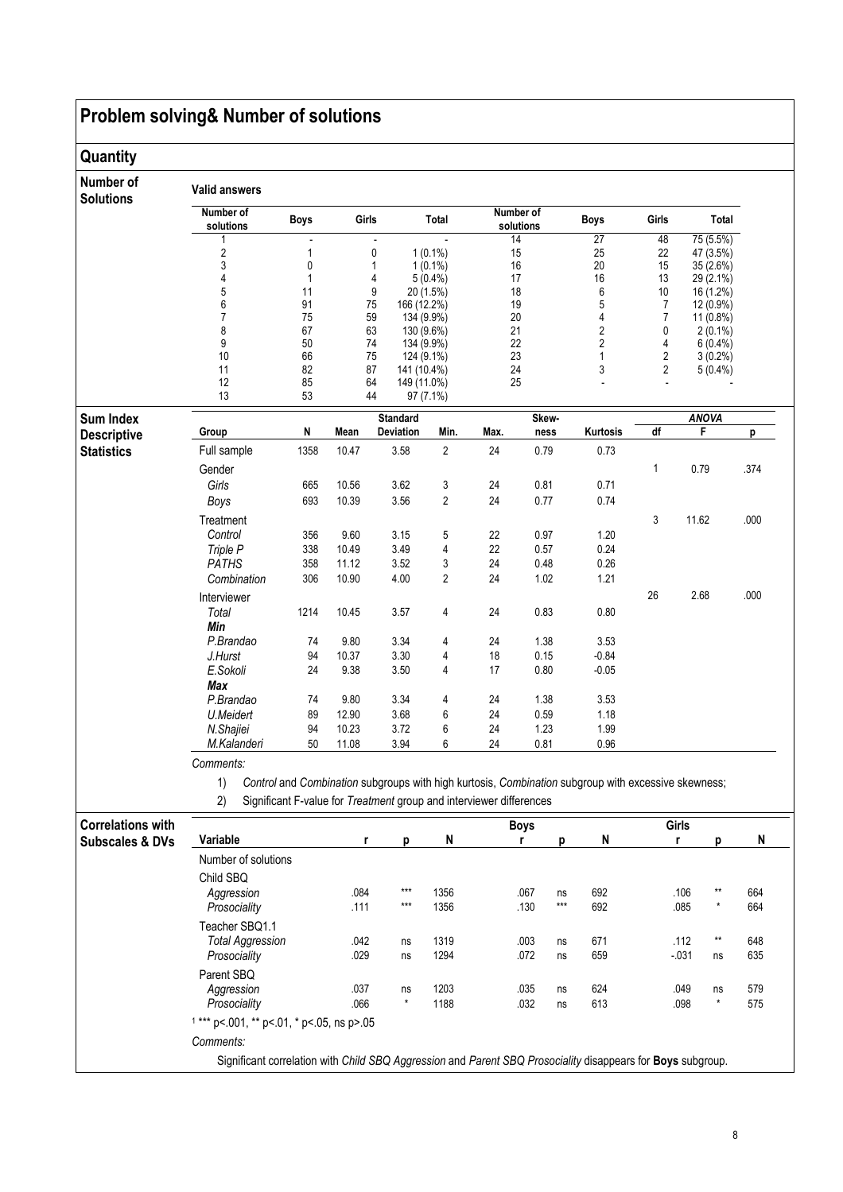# Problem solving& Number of solutions

## **Quantity**

| Number of<br><b>Solutions</b> | <b>Valid answers</b>   |             |       |                                       |                |          |                        |                         |        |                        |      |
|-------------------------------|------------------------|-------------|-------|---------------------------------------|----------------|----------|------------------------|-------------------------|--------|------------------------|------|
|                               | Number of<br>solutions | <b>Boys</b> | Girls |                                       | Total          |          | Number of<br>solutions | <b>Boys</b>             | Girls  | Total                  |      |
|                               | 1                      |             |       |                                       |                | 14       |                        | 27                      | 48     | 75 (5.5%)              |      |
|                               | 2                      | 1           |       | $\pmb{0}$                             | $1(0.1\%)$     |          | 15                     |                         | 22     | 47 (3.5%)              |      |
|                               | 3                      | 0           |       | 1                                     | $1(0.1\%)$     |          | 16                     | 20                      | 15     | 35 (2.6%)              |      |
|                               | $\overline{4}$         | 1           |       | 4                                     | $5(0.4\%)$     | 17       |                        | 16                      | 13     | 29 (2.1%)              |      |
|                               | 5                      | 11          |       | 9                                     | 20 (1.5%)      | 18       |                        | 6                       | 10     | 16 (1.2%)              |      |
|                               | 6<br>$\overline{7}$    | 91<br>75    |       | 75<br>166 (12.2%)<br>59<br>134 (9.9%) |                | 19<br>20 |                        | 5<br>4                  | 7<br>7 | 12 (0.9%)<br>11 (0.8%) |      |
|                               | 8                      | 67          |       | 63<br>130 (9.6%)                      |                | 21       |                        | 2                       | 0      | $2(0.1\%)$             |      |
|                               | 9                      | 50          |       | 74<br>134 (9.9%)                      |                | 22       |                        | $\overline{\mathbf{c}}$ | 4      | $6(0.4\%)$             |      |
|                               | 10                     | 66          |       | 75<br>124 (9.1%)                      |                | 23       |                        | 1                       | 2      | $3(0.2\%)$             |      |
|                               | 11                     | 82          |       | 87<br>141 (10.4%)                     |                | 24       |                        | 3                       | 2      | $5(0.4\%)$             |      |
|                               | 12                     | 85          |       | 64<br>149 (11.0%)                     |                | 25       |                        |                         |        |                        |      |
|                               | 13                     | 53          |       | 44                                    | 97 (7.1%)      |          |                        |                         |        |                        |      |
| Sum Index                     |                        |             |       | <b>Standard</b>                       |                |          | Skew-                  |                         |        | <b>ANOVA</b>           |      |
| <b>Descriptive</b>            | Group                  | N           | Mean  | Deviation                             | Min.           | Max.     | ness                   | Kurtosis                | df     | F                      | р    |
| <b>Statistics</b>             | Full sample            | 1358        | 10.47 | 3.58                                  | $\overline{2}$ | 24       | 0.79                   | 0.73                    |        |                        |      |
|                               | Gender                 |             |       |                                       |                |          |                        |                         | 1      | 0.79                   | .374 |
|                               | Girls                  | 665         | 10.56 | 3.62                                  | 3              | 24       | 0.81                   | 0.71                    |        |                        |      |
|                               | Boys                   | 693         | 10.39 | 3.56                                  | $\overline{2}$ | 24       | 0.77                   | 0.74                    |        |                        |      |
|                               | Treatment              |             |       |                                       |                |          |                        |                         | 3      | 11.62                  | .000 |
|                               | Control                | 356         | 9.60  | 3.15                                  | 5              | 22       | 0.97                   | 1.20                    |        |                        |      |
|                               | Triple P               | 338         | 10.49 | 3.49                                  | 4              | 22       | 0.57                   | 0.24                    |        |                        |      |
|                               | <b>PATHS</b>           | 358         | 11.12 | 3.52                                  | 3              | 24       | 0.48                   | 0.26                    |        |                        |      |
|                               | Combination            | 306         | 10.90 | 4.00                                  | $\overline{2}$ | 24       | 1.02                   | 1.21                    |        |                        |      |
|                               | Interviewer            |             |       |                                       |                |          |                        |                         | 26     | 2.68                   | .000 |
|                               | Total                  | 1214        | 10.45 | 3.57                                  | 4              | 24       | 0.83                   | 0.80                    |        |                        |      |
|                               | Min                    |             |       |                                       |                |          |                        |                         |        |                        |      |
|                               | P.Brandao              | 74          | 9.80  | 3.34                                  | 4              | 24       | 1.38                   | 3.53                    |        |                        |      |
|                               | J.Hurst                | 94          | 10.37 | 3.30                                  | 4              | 18       | 0.15                   | $-0.84$                 |        |                        |      |
|                               | E.Sokoli               | 24          | 9.38  | 3.50                                  | 4              | 17       | 0.80                   | $-0.05$                 |        |                        |      |
|                               | Max                    |             |       |                                       |                |          |                        |                         |        |                        |      |
|                               | P.Brandao              | 74          | 9.80  | 3.34                                  | 4              | 24       | 1.38                   | 3.53                    |        |                        |      |
|                               | U.Meidert              | 89          | 12.90 | 3.68                                  | 6              | 24       | 0.59                   | 1.18                    |        |                        |      |
|                               | N.Shajiei              | 94          | 10.23 | 3.72                                  | 6              | 24       | 1.23                   | 1.99                    |        |                        |      |
|                               | M.Kalanderi            | 50          | 11.08 | 3.94                                  | 6              | 24       | 0.81                   | 0.96                    |        |                        |      |
|                               | Comments:              |             |       |                                       |                |          |                        |                         |        |                        |      |

1) Control and Combination subgroups with high kurtosis, Combination subgroup with excessive skewness;

2) Significant F-value for Treatment group and interviewer differences

| <b>Correlations with</b>   |                                                                                                             |              |                  |              | <b>Boys</b>  |             |            | Girls            |                  |            |
|----------------------------|-------------------------------------------------------------------------------------------------------------|--------------|------------------|--------------|--------------|-------------|------------|------------------|------------------|------------|
| <b>Subscales &amp; DVs</b> | Variable                                                                                                    | r            | D                | N            |              |             | N          |                  |                  | N          |
|                            | Number of solutions                                                                                         |              |                  |              |              |             |            |                  |                  |            |
|                            | Child SBO<br>Aggression<br>Prosociality                                                                     | .084<br>.111 | $***$<br>$***$   | 1356<br>1356 | .067<br>.130 | ns<br>$***$ | 692<br>692 | .106<br>.085     | $***$<br>$\star$ | 664<br>664 |
|                            | Teacher SBO1.1<br><b>Total Aggression</b><br>Prosociality                                                   | .042<br>.029 | ns<br>ns         | 1319<br>1294 | .003<br>.072 | ns<br>ns    | 671<br>659 | .112<br>$-0.031$ | $***$<br>ns      | 648<br>635 |
|                            | Parent SBQ<br>Aggression<br>Prosociality                                                                    | .037<br>.066 | ns<br>$^{\star}$ | 1203<br>1188 | .035<br>.032 | ns<br>ns    | 624<br>613 | .049<br>.098     | ns<br>$\star$    | 579<br>575 |
|                            | $1***$ p<.001, ** p<.01, * p<.05, ns p>.05                                                                  |              |                  |              |              |             |            |                  |                  |            |
|                            | Comments:                                                                                                   |              |                  |              |              |             |            |                  |                  |            |
|                            | Significant correlation with Child SBQ Aggression and Parent SBQ Prosociality disappears for Boys subgroup. |              |                  |              |              |             |            |                  |                  |            |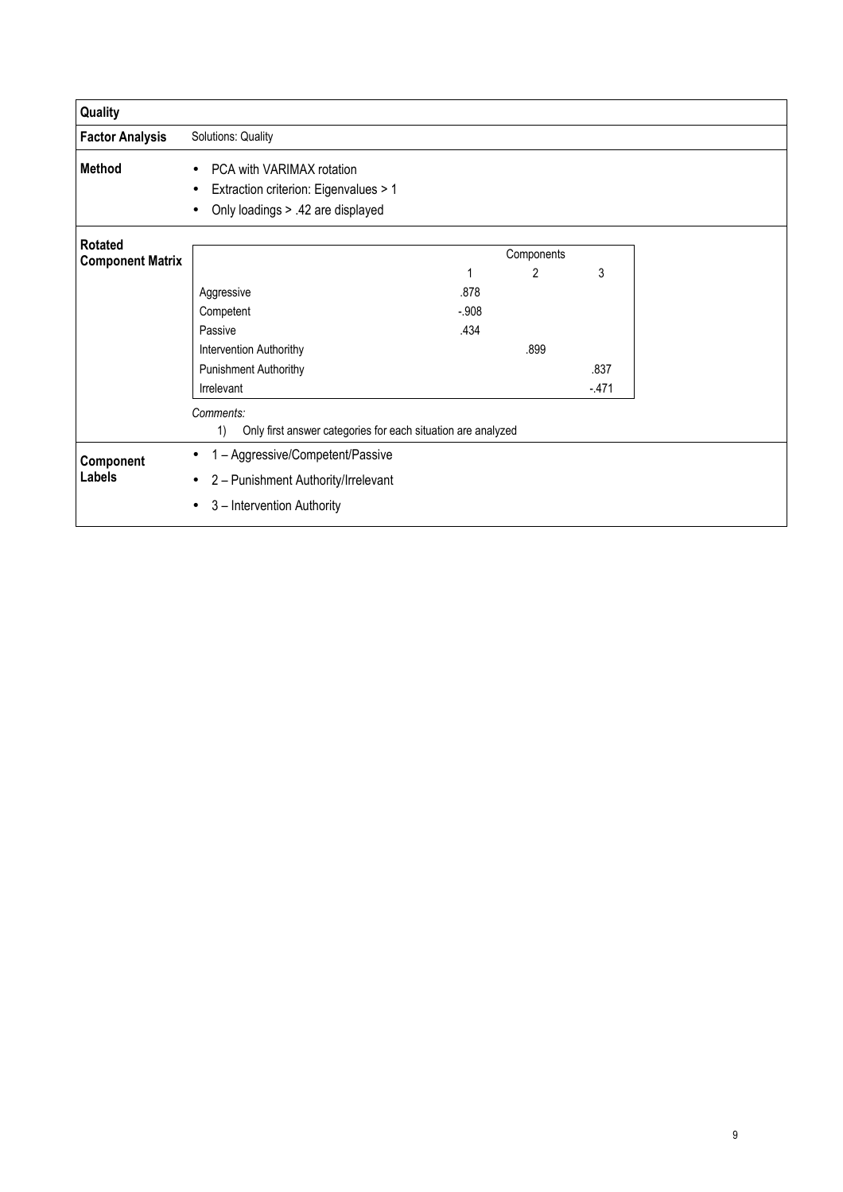| Quality                 |                                                                    |         |                |        |
|-------------------------|--------------------------------------------------------------------|---------|----------------|--------|
| <b>Factor Analysis</b>  | Solutions: Quality                                                 |         |                |        |
| <b>Method</b>           | PCA with VARIMAX rotation<br>$\bullet$                             |         |                |        |
|                         | Extraction criterion: Eigenvalues > 1<br>٠                         |         |                |        |
|                         | Only loadings > .42 are displayed                                  |         |                |        |
| <b>Rotated</b>          |                                                                    |         |                |        |
| <b>Component Matrix</b> |                                                                    |         | Components     |        |
|                         |                                                                    | 1       | $\overline{2}$ | 3      |
|                         | Aggressive                                                         | .878    |                |        |
|                         | Competent                                                          | $-.908$ |                |        |
|                         | Passive                                                            | .434    |                |        |
|                         | Intervention Authorithy                                            |         | .899           |        |
|                         | Punishment Authorithy                                              |         |                | .837   |
|                         | Irrelevant                                                         |         |                | $-471$ |
|                         | Comments:                                                          |         |                |        |
|                         | 1)<br>Only first answer categories for each situation are analyzed |         |                |        |
| Component               | 1 - Aggressive/Competent/Passive<br>٠                              |         |                |        |
| Labels                  | 2 - Punishment Authority/Irrelevant                                |         |                |        |
|                         | 3 - Intervention Authority                                         |         |                |        |
|                         |                                                                    |         |                |        |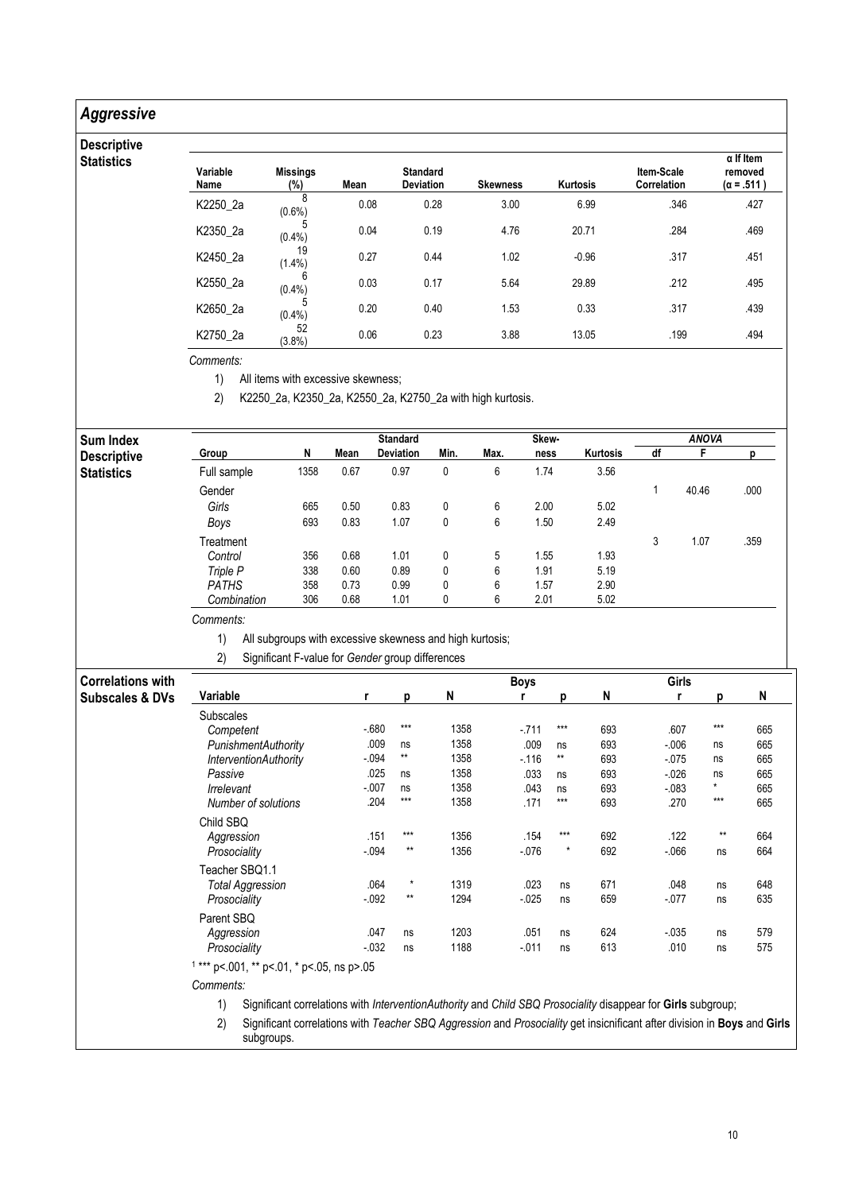## Aggressive

### Descripti **Statistics**

| Variable<br>Name | <b>Missings</b><br>(%) | Mean | <b>Standard</b><br><b>Deviation</b> | <b>Skewness</b> | <b>Kurtosis</b> | Item-Scale<br>Correlation | $\alpha$ If Item<br>removed<br>$(\alpha = .511)$ |
|------------------|------------------------|------|-------------------------------------|-----------------|-----------------|---------------------------|--------------------------------------------------|
| K2250_2a         | 8<br>$(0.6\%)$         | 0.08 | 0.28                                | 3.00            | 6.99            | .346                      | .427                                             |
| K2350_2a         | 5<br>$(0.4\%)$         | 0.04 | 0.19                                | 4.76            | 20.71           | .284                      | .469                                             |
| K2450_2a         | 19<br>$(1.4\%)$        | 0.27 | 0.44                                | 1.02            | $-0.96$         | .317                      | .451                                             |
| K2550_2a         | (0.4% )                | 0.03 | 0.17                                | 5.64            | 29.89           | .212                      | .495                                             |
| K2650 2a         | $(0.4\%)$              | 0.20 | 0.40                                | 1.53            | 0.33            | .317                      | .439                                             |
| K2750_2a         | 52<br>(3.8%)           | 0.06 | 0.23                                | 3.88            | 13.05           | .199                      | .494                                             |

Comments:

1) All items with excessive skewness;

2) K2250\_2a, K2350\_2a, K2550\_2a, K2750\_2a with high kurtosis.

| Sum Index          |              |      |      | <b>Standard</b> |      |      | Skew- |          |    | <b>ANOVA</b> |      |
|--------------------|--------------|------|------|-----------------|------|------|-------|----------|----|--------------|------|
| <b>Descriptive</b> | Group        | N    | Mean | Deviation       | Min. | Max. | ness  | Kurtosis | df |              |      |
| <b>Statistics</b>  | Full sample  | 1358 | 0.67 | 0.97            | 0    | 6    | 1.74  | 3.56     |    |              |      |
|                    | Gender       |      |      |                 |      |      |       |          |    | 40.46        | .000 |
|                    | Girls        | 665  | 0.50 | 0.83            | 0    | 6    | 2.00  | 5.02     |    |              |      |
|                    | Boys         | 693  | 0.83 | 1.07            | 0    | 6    | 1.50  | 2.49     |    |              |      |
|                    | Treatment    |      |      |                 |      |      |       |          | 3  | 1.07         | .359 |
|                    | Control      | 356  | 0.68 | 1.01            | 0    | 5    | 1.55  | 1.93     |    |              |      |
|                    | Triple P     | 338  | 0.60 | 0.89            | 0    | 6    | 1.91  | 5.19     |    |              |      |
|                    | <b>PATHS</b> | 358  | 0.73 | 0.99            | 0    | 6    | 1.57  | 2.90     |    |              |      |
|                    | Combination  | 306  | 0.68 | 1.01            | 0    | 6    | 2.01  | 5.02     |    |              |      |

Comments:

1) All subgroups with excessive skewness and high kurtosis;

2) Significant F-value for Gender group differences

| <b>Correlations with</b>   |                                            |         |          |      | <b>Boys</b> |         |     | Girls    |       |     |
|----------------------------|--------------------------------------------|---------|----------|------|-------------|---------|-----|----------|-------|-----|
| <b>Subscales &amp; DVs</b> | Variable                                   | r       | p        | N    |             | n       | N   |          | Ŋ     | N   |
|                            | Subscales                                  |         |          |      |             |         |     |          |       |     |
|                            | Competent                                  | $-680$  | $***$    | 1358 | $-711$      | $***$   | 693 | .607     | $***$ | 665 |
|                            | PunishmentAuthority                        | .009    | ns       | 1358 | .009        | ns      | 693 | $-0.006$ | ns    | 665 |
|                            | <b>InterventionAuthority</b>               | $-0.94$ | **       | 1358 | $-116$      | $***$   | 693 | $-075$   | ns    | 665 |
|                            | Passive                                    | .025    | ns       | 1358 | .033        | ns      | 693 | $-0.026$ | ns    | 665 |
|                            | Irrelevant                                 | $-007$  | ns       | 1358 | .043        | ns      | 693 | $-083$   | *     | 665 |
|                            | Number of solutions                        | .204    | $***$    | 1358 | .171        | ***     | 693 | .270     | $***$ | 665 |
|                            | Child SBQ                                  |         |          |      |             |         |     |          |       |     |
|                            | Aggression                                 | .151    | $***$    | 1356 | .154        | $***$   | 692 | .122     | $**$  | 664 |
|                            | Prosociality                               | $-0.94$ | $**$     | 1356 | $-076$      | $\star$ | 692 | $-066$   | ns    | 664 |
|                            | Teacher SBQ1.1                             |         |          |      |             |         |     |          |       |     |
|                            | Total Aggression                           | .064    | $^\star$ | 1319 | .023        | ns      | 671 | .048     | ns    | 648 |
|                            | Prosociality                               | $-0.92$ | $***$    | 1294 | $-025$      | ns      | 659 | $-077$   | ns    | 635 |
|                            | Parent SBQ                                 |         |          |      |             |         |     |          |       |     |
|                            | Aggression                                 | .047    | ns       | 1203 | .051        | ns      | 624 | $-0.035$ | ns    | 579 |
|                            | Prosociality                               | $-032$  | ns       | 1188 | $-011$      | ns      | 613 | .010     | ns    | 575 |
|                            | $1***$ p<.001, ** p<.01, * p<.05, ns p>.05 |         |          |      |             |         |     |          |       |     |
|                            | Comments:                                  |         |          |      |             |         |     |          |       |     |

1) Significant correlations with InterventionAuthority and Child SBQ Prosociality disappear for Girls subgroup;

2) Significant correlations with Teacher SBQ Aggression and Prosociality get insicnificant after division in Boys and Girls subgroups.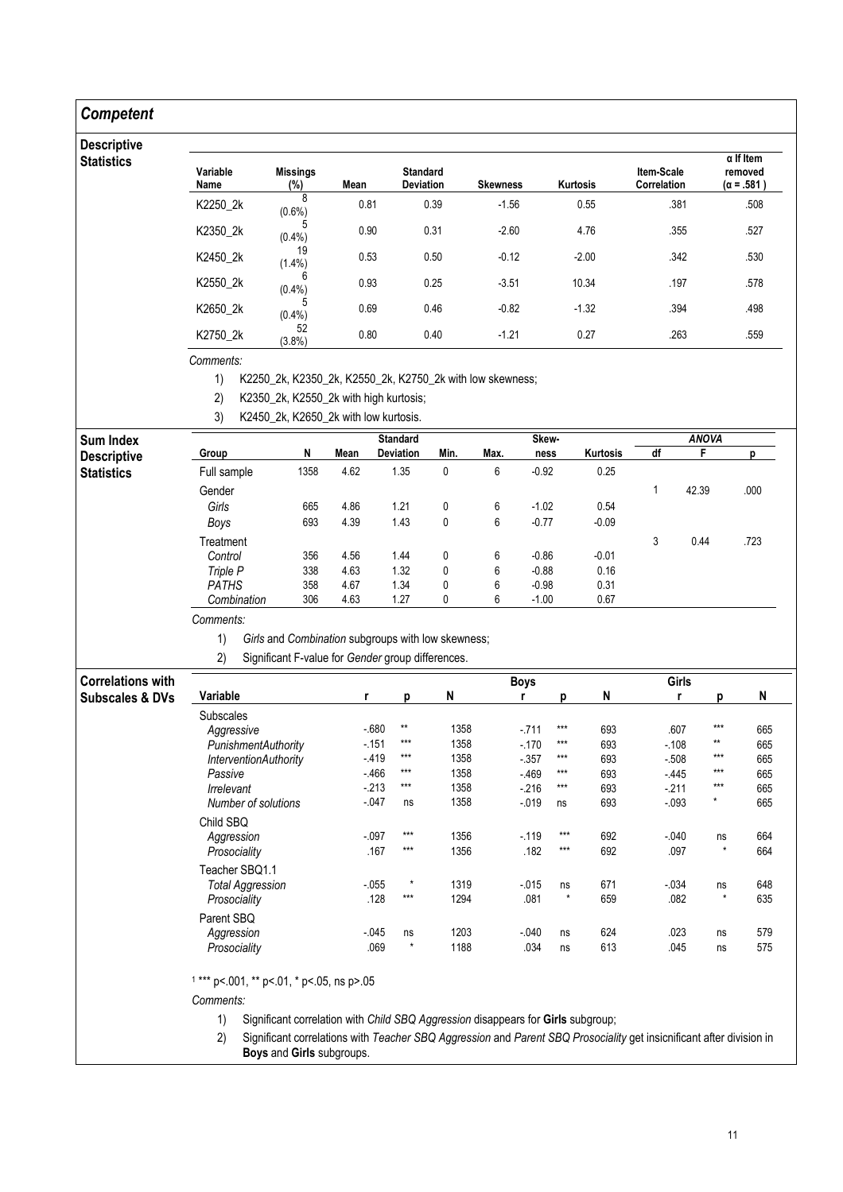## **Competent**

### Descrip

| <b>Descriptive</b> |                  |                           |      |                                     |                 |                 |                           |                                                  |
|--------------------|------------------|---------------------------|------|-------------------------------------|-----------------|-----------------|---------------------------|--------------------------------------------------|
| <b>Statistics</b>  | Variable<br>Name | <b>Missings</b><br>$(\%)$ | Mean | <b>Standard</b><br><b>Deviation</b> | <b>Skewness</b> | <b>Kurtosis</b> | Item-Scale<br>Correlation | $\alpha$ If Item<br>removed<br>$(\alpha = .581)$ |
|                    | K2250_2k         | 8<br>$(0.6\%)$            | 0.81 | 0.39                                | $-1.56$         | 0.55            | .381                      | .508                                             |
|                    | K2350_2k         | 5<br>(0.4%                | 0.90 | 0.31                                | $-2.60$         | 4.76            | .355                      | .527                                             |
|                    | K2450_2k         | 19<br>$(1.4\%)$           | 0.53 | 0.50                                | $-0.12$         | $-2.00$         | .342                      | .530                                             |
|                    | K2550_2k         | 6<br>(0.4% )              | 0.93 | 0.25                                | $-3.51$         | 10.34           | .197                      | .578                                             |
|                    | K2650_2k         | (0.4% )                   | 0.69 | 0.46                                | $-0.82$         | $-1.32$         | .394                      | .498                                             |
|                    | K2750_2k         | 52<br>(3.8%)              | 0.80 | 0.40                                | $-1.21$         | 0.27            | .263                      | .559                                             |

Comments:

1) K2250\_2k, K2350\_2k, K2550\_2k, K2750\_2k with low skewness;

2) K2350\_2k, K2550\_2k with high kurtosis;

3) K2450\_2k, K2650\_2k with low kurtosis.

| <b>Sum Index</b>   |              |      |      | <b>Standard</b>  |      |      | Skew-   |          |    | <b>ANOVA</b> |      |
|--------------------|--------------|------|------|------------------|------|------|---------|----------|----|--------------|------|
| <b>Descriptive</b> | Group        | N    | Mean | <b>Deviation</b> | Min. | Max. | ness    | Kurtosis | df |              |      |
| <b>Statistics</b>  | Full sample  | 1358 | 4.62 | 1.35             | 0    | 6    | $-0.92$ | 0.25     |    |              |      |
|                    | Gender       |      |      |                  |      |      |         |          |    | 42.39        | .000 |
|                    | Girls        | 665  | 4.86 | 1.21             | 0    | 6    | $-1.02$ | 0.54     |    |              |      |
|                    | Boys         | 693  | 4.39 | 1.43             | 0    | 6    | $-0.77$ | $-0.09$  |    |              |      |
|                    | Treatment    |      |      |                  |      |      |         |          | 3  | 0.44         | .723 |
|                    | Control      | 356  | 4.56 | 1.44             | 0    | 6    | $-0.86$ | $-0.01$  |    |              |      |
|                    | Triple P     | 338  | 4.63 | 1.32             | 0    | 6    | $-0.88$ | 0.16     |    |              |      |
|                    | <b>PATHS</b> | 358  | 4.67 | 1.34             | 0    | 6    | $-0.98$ | 0.31     |    |              |      |
|                    | Combination  | 306  | 4.63 | 1.27             | 0    | 6    | $-1.00$ | 0.67     |    |              |      |

### Comments:

1) Girls and Combination subgroups with low skewness;

2) Significant F-value for Gender group differences.

| <b>Correlations with</b>   |                              |          |         |      | <b>Boys</b> |         |     | Girls    |         |     |
|----------------------------|------------------------------|----------|---------|------|-------------|---------|-----|----------|---------|-----|
| <b>Subscales &amp; DVs</b> | Variable                     |          | p       | N    |             | n       | N   |          | D       | N   |
|                            | <b>Subscales</b>             |          |         |      |             |         |     |          |         |     |
|                            | Aggressive                   | $-680$   | $**$    | 1358 | $-711$      | $***$   | 693 | .607     | $***$   | 665 |
|                            | PunishmentAuthority          | $-151$   | ***     | 1358 | $-170$      | $***$   | 693 | $-108$   | $**$    | 665 |
|                            | <b>InterventionAuthority</b> | $-419$   | $***$   | 1358 | $-357$      | $***$   | 693 | $-508$   | $***$   | 665 |
|                            | Passive                      | $-466$   | $***$   | 1358 | $-469$      | $***$   | 693 | $-445$   | $***$   | 665 |
|                            | Irrelevant                   | $-213$   | $***$   | 1358 | $-216$      | $***$   | 693 | $-211$   | $***$   | 665 |
|                            | Number of solutions          | $-047$   | ns      | 1358 | $-0.19$     | ns      | 693 | $-0.093$ | $\star$ | 665 |
|                            | Child SBO                    |          |         |      |             |         |     |          |         |     |
|                            | Aggression                   | $-097$   | $***$   | 1356 | $-119$      | $***$   | 692 | $-.040$  | ns      | 664 |
|                            | Prosociality                 | .167     | $***$   | 1356 | .182        | $***$   | 692 | .097     | $\star$ | 664 |
|                            | Teacher SBQ1.1               |          |         |      |             |         |     |          |         |     |
|                            | <b>Total Aggression</b>      | $-0.055$ | $\star$ | 1319 | $-0.015$    | ns      | 671 | $-0.034$ | ns      | 648 |
|                            | Prosociality                 | .128     | $***$   | 1294 | .081        | $\star$ | 659 | .082     | $\star$ | 635 |
|                            | Parent SBQ                   |          |         |      |             |         |     |          |         |     |
|                            | Aggression                   | $-0.045$ | ns      | 1203 | $-0.040$    | ns      | 624 | .023     | ns      | 579 |
|                            | Prosociality                 | .069     | $\star$ | 1188 | .034        | ns      | 613 | .045     | ns      | 575 |

1 \*\*\* p<.001, \*\* p<.01, \* p<.05, ns p>.05

Comments:

1) Significant correlation with Child SBQ Aggression disappears for Girls subgroup;

2) Significant correlations with Teacher SBQ Aggression and Parent SBQ Prosociality get insicnificant after division in Boys and Girls subgroups.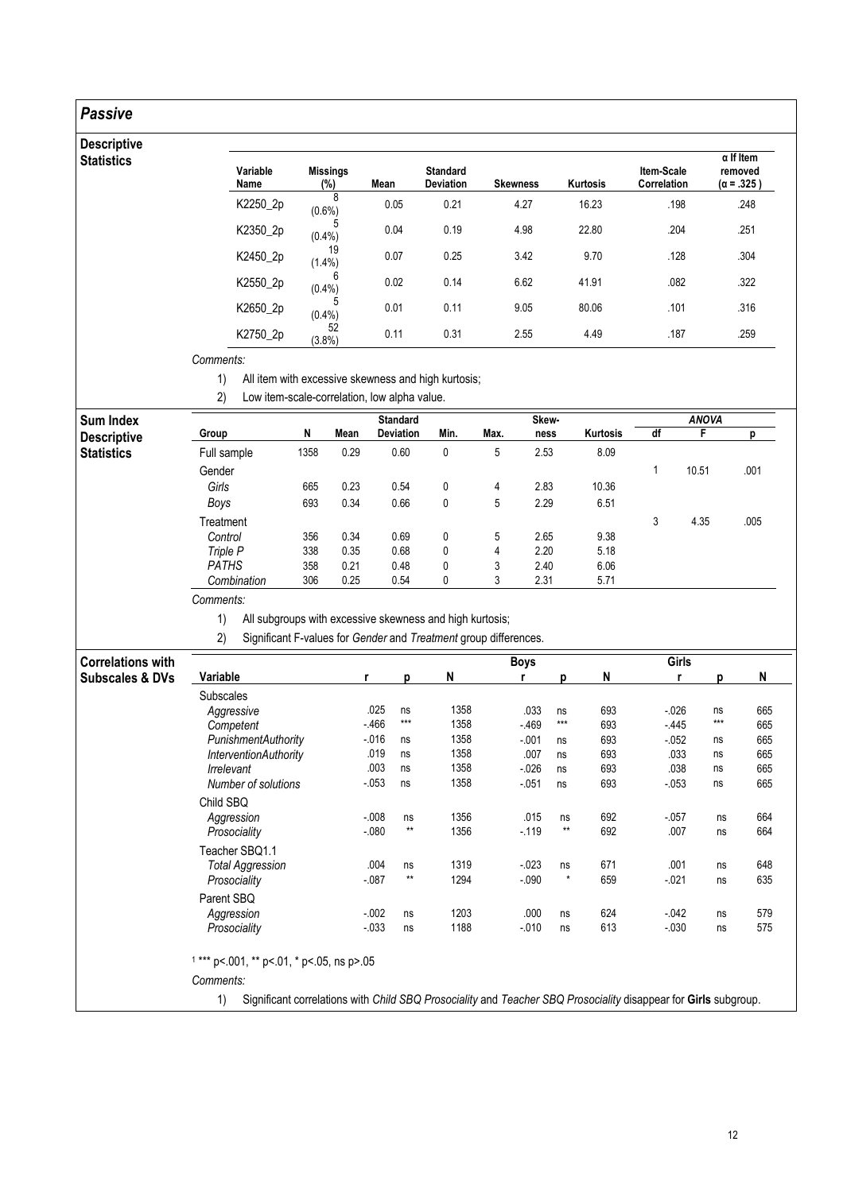## Passive

### Descriptive **Statistics**

| Variable<br>Name | <b>Missings</b><br>(%) | Mean | <b>Standard</b><br><b>Deviation</b> | <b>Skewness</b> | <b>Kurtosis</b> | Item-Scale<br>Correlation | $\alpha$ If Item<br>removed<br>$(\alpha = .325)$ |
|------------------|------------------------|------|-------------------------------------|-----------------|-----------------|---------------------------|--------------------------------------------------|
| K2250_2p         | 8<br>$(0.6\%)$         | 0.05 | 0.21                                | 4.27            | 16.23           | .198                      | .248                                             |
| K2350_2p         | 5<br>(0.4% )           | 0.04 | 0.19                                | 4.98            | 22.80           | .204                      | .251                                             |
| K2450_2p         | 19<br>$(1.4\%)$        | 0.07 | 0.25                                | 3.42            | 9.70            | .128                      | .304                                             |
| K2550_2p         | 6<br>(0.4% )           | 0.02 | 0.14                                | 6.62            | 41.91           | .082                      | .322                                             |
| K2650_2p         | 5<br>$(0.4\%)$         | 0.01 | 0.11                                | 9.05            | 80.06           | .101                      | .316                                             |
| K2750_2p         | 52<br>$(3.8\%)$        | 0.11 | 0.31                                | 2.55            | 4.49            | .187                      | .259                                             |

Comments:

1) All item with excessive skewness and high kurtosis;

2) Low item-scale-correlation, low alpha value.

| Sum Index          |              |      |      | <b>Standard</b>  |      |      | Skew- |          |    | <b>ANOVA</b> |      |
|--------------------|--------------|------|------|------------------|------|------|-------|----------|----|--------------|------|
| <b>Descriptive</b> | Group        | N    | Mean | <b>Deviation</b> | Min. | Max. | ness  | Kurtosis | df |              |      |
| <b>Statistics</b>  | Full sample  | 1358 | 0.29 | 0.60             | 0    | 5    | 2.53  | 8.09     |    |              |      |
|                    | Gender       |      |      |                  |      |      |       |          |    | 10.51        | .001 |
|                    | Girls        | 665  | 0.23 | 0.54             | 0    | 4    | 2.83  | 10.36    |    |              |      |
|                    | Boys         | 693  | 0.34 | 0.66             | 0    | 5    | 2.29  | 6.51     |    |              |      |
|                    | Treatment    |      |      |                  |      |      |       |          | 3  | 4.35         | .005 |
|                    | Control      | 356  | 0.34 | 0.69             | 0    | 5    | 2.65  | 9.38     |    |              |      |
|                    | Triple P     | 338  | 0.35 | 0.68             | 0    | 4    | 2.20  | 5.18     |    |              |      |
|                    | <b>PATHS</b> | 358  | 0.21 | 0.48             | 0    | 3    | 2.40  | 6.06     |    |              |      |
|                    | Combination  | 306  | 0.25 | 0.54             | 0    | 3    | 2.31  | 5.71     |    |              |      |

Comments:

1) All subgroups with excessive skewness and high kurtosis;

2) Significant F-values for Gender and Treatment group differences.

| <b>Correlations with</b>   |                                                                                                                       |        |       |      | <b>Boys</b> |         |     | Girls    |       |     |  |  |
|----------------------------|-----------------------------------------------------------------------------------------------------------------------|--------|-------|------|-------------|---------|-----|----------|-------|-----|--|--|
| <b>Subscales &amp; DVs</b> | Variable                                                                                                              | r      | р     | N    |             | D       | N   | r        | D     | N   |  |  |
|                            | <b>Subscales</b>                                                                                                      |        |       |      |             |         |     |          |       |     |  |  |
|                            | Aggressive                                                                                                            | .025   | ns    | 1358 | .033        | ns      | 693 | $-0.026$ | ns    | 665 |  |  |
|                            | Competent                                                                                                             | $-466$ | $***$ | 1358 | $-469$      | $***$   | 693 | $-445$   | $***$ | 665 |  |  |
|                            | PunishmentAuthority                                                                                                   | $-016$ | ns    | 1358 | $-0.01$     | ns      | 693 | $-0.052$ | ns    | 665 |  |  |
|                            | <b>InterventionAuthority</b>                                                                                          | .019   | ns    | 1358 | .007        | ns      | 693 | .033     | ns    | 665 |  |  |
|                            | Irrelevant                                                                                                            | .003   | ns    | 1358 | $-026$      | ns      | 693 | .038     | ns    | 665 |  |  |
|                            | Number of solutions                                                                                                   | $-053$ | ns    | 1358 | $-0.051$    | ns      | 693 | $-053$   | ns    | 665 |  |  |
|                            | Child SBQ                                                                                                             |        |       |      |             |         |     |          |       |     |  |  |
|                            | Aggression                                                                                                            | $-008$ | ns    | 1356 | .015        | ns      | 692 | $-057$   | ns    | 664 |  |  |
|                            | Prosociality                                                                                                          | $-080$ | $**$  | 1356 | $-119$      | $**$    | 692 | .007     | ns    | 664 |  |  |
|                            | Teacher SBQ1.1                                                                                                        |        |       |      |             |         |     |          |       |     |  |  |
|                            | <b>Total Aggression</b>                                                                                               | .004   | ns    | 1319 | $-023$      | ns      | 671 | .001     | ns    | 648 |  |  |
|                            | Prosociality                                                                                                          | $-087$ | $**$  | 1294 | $-0.090$    | $\star$ | 659 | $-021$   | ns    | 635 |  |  |
|                            | Parent SBQ                                                                                                            |        |       |      |             |         |     |          |       |     |  |  |
|                            | Aggression                                                                                                            | $-002$ | ns    | 1203 | .000        | ns      | 624 | $-0.042$ | ns    | 579 |  |  |
|                            | Prosociality                                                                                                          | $-033$ | ns    | 1188 | $-0.010$    | ns      | 613 | $-0.30$  | ns    | 575 |  |  |
|                            | $1***$ p<.001, ** p<.01, * p<.05, ns p>.05                                                                            |        |       |      |             |         |     |          |       |     |  |  |
|                            | Comments:                                                                                                             |        |       |      |             |         |     |          |       |     |  |  |
|                            | Significant correlations with Child SBQ Prosociality and Teacher SBQ Prosociality disappear for Girls subgroup.<br>1) |        |       |      |             |         |     |          |       |     |  |  |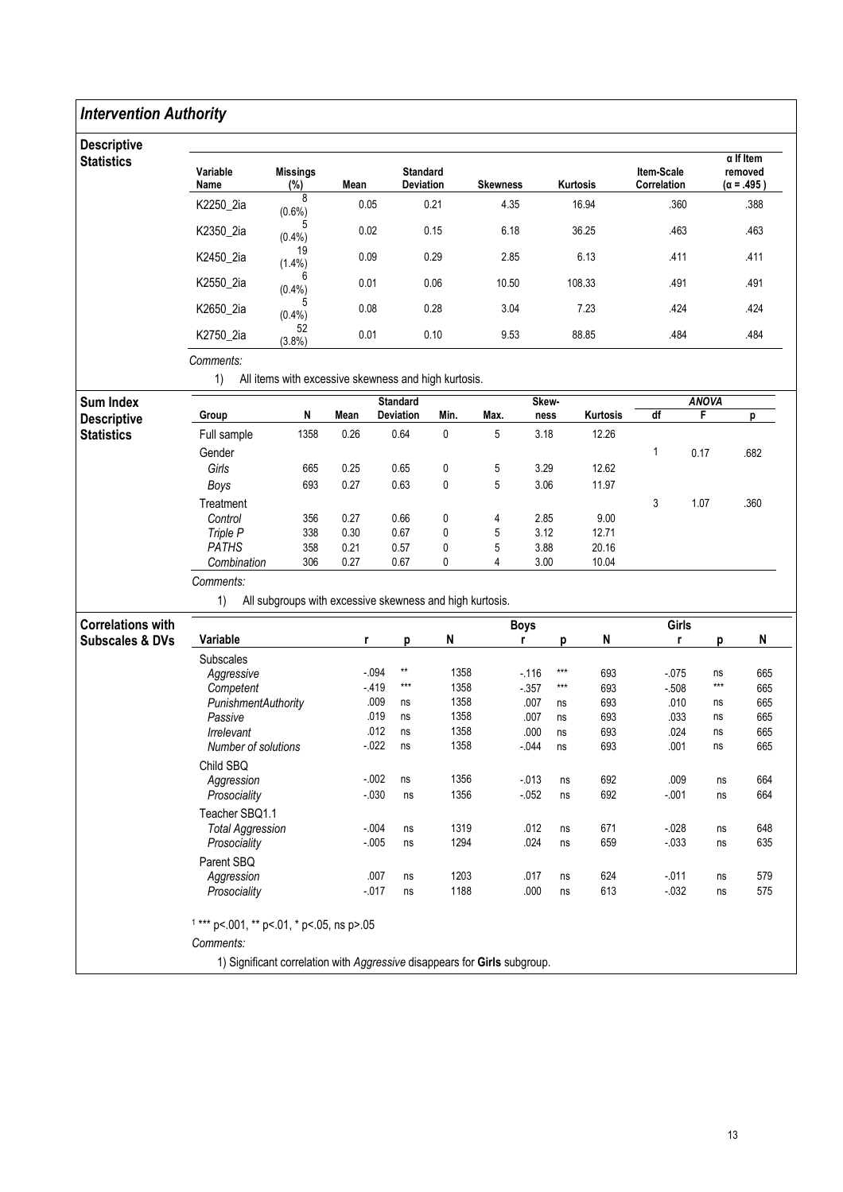### Intervention Authority **Descriptive Statistics** Variable Name Missings (%) Mean Standard<br>Deviation Skewness Kurtosis Item-Scale Correlation α If Item removed (α = .495 ) K2250\_2ia  $\frac{8}{(0.6\%)}$  $(0.6\%)$  0.05 0.21 4.35 16.94 .360 .388 K2350\_2ia  $(0.4\%)$  $(0.4\%)$  0.02 0.15 6.18 36.25 .463 .463 K2450\_2ia  $(1.4\%)$  $(1.4\%)$  0.09 0.29 2.85 6.13 .411 .411 K2550\_2ia  $^{6}$  (0.4%)  $(0.4\%)$  0.01 0.06 10.50 108.33 .491 .491 K2650\_2ia  $(0.4\%)$  $(0.4\%)$  0.08 0.28 3.04 7.23 .424 .424 K2750\_2ia  $52$ <br>(3.8%)  $(3.8\%)$  0.01 0.10 9.53 88.85 .484 .484 Comments: 1) All items with excessive skewness and high kurtosis. Sum Index **Descriptive Statistics** Standard Skew- Skew- Skew- ANOVA Group N Mean Deviation Min. Max. ness Kurtosis df F p Full sample 1358 0.26 0.64 0 5 3.18 12.26 Gender 2008 - 1 0.17 .682 Girls 665 0.25 0.65 0 5 3.29 12.62 Boys 693 0.27 0.63 0 5 3.06 11.97 Treatment 3 1.07 360 Control 356 0.27 0.66 0 4 2.85 9.00 Triple P 338 0.30 0.67 0 5 3.12 12.71 PATHS 358 0.21 0.57 0 5 3.88 20.16 Combination 306 0.27 0.67 0 4 3.00 10.04 Comments: 1) All subgroups with excessive skewness and high kurtosis. Correlations with Subscales & DVs en die die Solomoniese Solomoniese Solomoniese Solomoniese Solomoniese Solomoniese Solomoniese Solomoniese Sol Variable r p N r p N r p N Subscales Aggressive -.094 \*\* 1358 -.116 \*\*\* 693 -.075 ns 665 Competent -.419 \*\*\* 1358 -.357 \*\*\* 693 -.508 \*\*\* 665 PunishmentAuthority .009 ns 1358 .007 ns 693 .010 ns 665<br>Passive .019 ns 1358 .007 ns 693 .033 ns 665 Passive .019 ns 1358 .007 ns 693 .033 ns 665 Irrelevant .012 ns 1358 .000 ns 693 .024 ns 665 Number of solutions -.022 ns 1358 -.044 ns 693 .001 ns 665

Aggression -.002 ns 1356 -.013 ns 692 .009 ns 664 Prosociality -.030 ns 1356 -.052 ns 692 -.001 ns 664

Total Aggression -.004 ns 1319 .012 ns 671 -.028 ns 648 Prosociality -.005 ns 1294 .024 ns 659 -.033 ns 635

Aggression .007 ns 1203 .017 ns 624 -.011 ns 579 Prosociality -.017 ns 1188 .000 ns 613 -.032 ns 575

Child SBQ<br>Aggression

Teacher SBQ1.1

1 \*\*\* p<.001, \*\* p<.01, \* p<.05, ns p>.05

1) Significant correlation with Aggressive disappears for Girls subgroup.

Parent SBQ

Comments:

13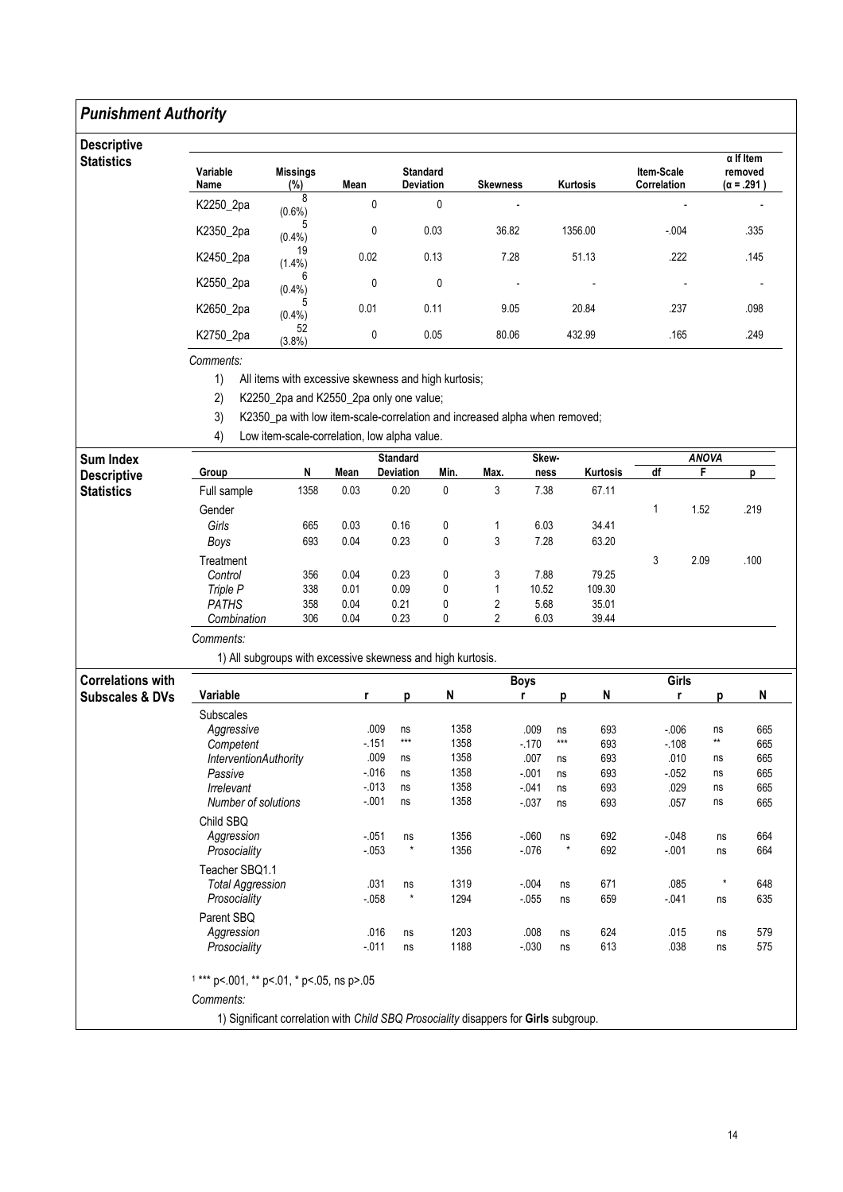#### Punishment Authority Descriptive **Statistics** Variable Name Missings<br>(%)  $\frac{1}{8}$  Mean Standard<br>Deviation Skewness Kurtosis Item-Scale **Correlation** α If Item removed (α = .291 ) K2250\_2pa  $8(0.6\%)$ (0.6%) 0 0 - - - K2350\_2pa  $(0.4\%)$  $(0.4\%)$  0 0.03 36.82 1356.00 -.004 .335 K2450\_2pa  $19$ <br>(1.4%)  $(1.4\%)$  0.02 0.13 7.28 51.13 .222 .145 K2550\_2pa 6<br>(0.4%) (0.4%) 0 0 - - - -  $K2650_2p$ a  $(0.4\%)$  $(0.4\%)$  0.01 0.11 9.05 20.84 .237 .098 K2750\_2pa 52<br>(3.8%)  $(3.8\%)$  0 0.05 80.06 432.99 .165 .249

Comments:

1) All items with excessive skewness and high kurtosis;

2) K2250\_2pa and K2550\_2pa only one value;

3) K2350\_pa with low item-scale-correlation and increased alpha when removed;

4) Low item-scale-correlation, low alpha value.

| <b>Sum Index</b>           |                                                             |      |          |                                    | Skew-     |                |               | <b>ANOVA</b> |          |          |                 |           |
|----------------------------|-------------------------------------------------------------|------|----------|------------------------------------|-----------|----------------|---------------|--------------|----------|----------|-----------------|-----------|
| <b>Descriptive</b>         | Group                                                       | N    | Mean     | <b>Deviation</b>                   | Min.      | Max.           | ness          |              | Kurtosis | df       | F               | p         |
| <b>Statistics</b>          | Full sample                                                 | 1358 | 0.03     | 0.20                               | 0         | 3              | 7.38          |              | 67.11    |          |                 |           |
|                            | Gender                                                      |      |          |                                    |           |                |               |              |          | 1        | 1.52            | .219      |
|                            | Girls                                                       | 665  | 0.03     | 6.03<br>0.16<br>0<br>1             |           | 34.41          |               |              |          |          |                 |           |
|                            | Boys                                                        | 693  | 0.04     | 0.23                               | $\pmb{0}$ | 3              | 7.28          |              | 63.20    |          |                 |           |
|                            | Treatment                                                   |      |          |                                    |           |                |               |              |          | 3        | 2.09            | .100      |
|                            | Control                                                     | 356  | 0.04     | 0.23                               | 0         | 3              | 7.88          |              | 79.25    |          |                 |           |
|                            | Triple P                                                    | 338  | 0.01     | 0.09                               | 0         | $\mathbf{1}$   | 10.52         |              | 109.30   |          |                 |           |
|                            | <b>PATHS</b>                                                | 358  | 0.04     | 0.21                               | 0         | 2              | 5.68          |              | 35.01    |          |                 |           |
|                            | Combination                                                 | 306  | 0.04     | 0.23                               | 0         | $\overline{2}$ | 6.03<br>39.44 |              |          |          |                 |           |
|                            | Comments:                                                   |      |          |                                    |           |                |               |              |          |          |                 |           |
|                            | 1) All subgroups with excessive skewness and high kurtosis. |      |          |                                    |           |                |               |              |          |          |                 |           |
| <b>Correlations with</b>   |                                                             |      |          |                                    |           |                | <b>Boys</b>   |              |          | Girls    |                 |           |
| <b>Subscales &amp; DVs</b> | Variable                                                    |      | r        | p                                  | N         |                | r             | p            | N        | r        | p               | ${\sf N}$ |
|                            | <b>Subscales</b>                                            |      |          |                                    |           |                |               |              |          |          |                 |           |
|                            | Aggressive                                                  |      | .009     | ns                                 | 1358      |                | .009          | ns           | 693      | $-0.006$ | ns              | 665       |
|                            | Competent                                                   |      | $-151$   | $***$                              | 1358      |                | $-170$        | $***$        | 693      | $-108$   | $^{\star\star}$ | 665       |
|                            | InterventionAuthority                                       |      | .009     | ns                                 | 1358      |                | .007          | ns           | 693      | .010     | ns              | 665       |
|                            | Passive                                                     |      | $-0.16$  | ns                                 | 1358      |                | $-0.01$       | ns           | 693      | $-052$   | ns              | 665       |
|                            | Irrelevant                                                  |      | $-013$   | ns                                 | 1358      |                | $-041$        | ns           | 693      | .029     | ns              | 665       |
|                            | <b>Number of solutions</b>                                  |      | $-.001$  | ns                                 | 1358      |                | $-0.37$       | ns           | 693      | .057     | ns              | 665       |
|                            | Child SBQ                                                   |      |          |                                    |           |                |               |              |          |          |                 |           |
|                            | Aggression                                                  |      | $-051$   | ns                                 | 1356      |                | $-060$        | ns           | 692      | $-0.048$ | ns              | 664       |
|                            | Prosociality                                                |      | $-0.053$ | $\star$                            | 1356      |                | $-0.076$      | $^\star$     | 692      | $-001$   | ns              | 664       |
|                            | Teacher SBO1.1                                              |      |          |                                    |           |                |               |              |          |          |                 |           |
|                            | <b>Total Aggression</b>                                     |      | .031     | ns                                 | 1319      |                | $-0.004$      | ns           | 671      | .085     | $^\star$        | 648       |
|                            | Prosociality                                                |      | $-058$   | $\star$                            | 1294      |                | $-0.55$       | ns           | 659      | $-041$   | ns              | 635       |
|                            | Parent SBQ                                                  |      |          |                                    |           |                |               |              |          |          |                 |           |
|                            | Aggression                                                  |      |          | .016<br>ns                         | 1203      |                | .008          | ns           | 624      | .015     | ns              | 579       |
|                            | Prosociality                                                |      | $-011$   | ns                                 | 1188      |                | $-0.30$       | ns           | 613      | .038     | ns              | 575       |
|                            |                                                             |      |          |                                    |           |                |               |              |          |          |                 |           |
|                            | $1***$ p<.001, ** p<.01, * p<.05, ns p>.05                  |      |          |                                    |           |                |               |              |          |          |                 |           |
|                            | Comments:<br>$\cdots$                                       |      |          | $\sim$ $\sim$ $\sim$ $\sim$ $\sim$ |           |                |               |              |          |          |                 |           |

1) Significant correlation with Child SBQ Prosociality disappers for Girls subgroup.